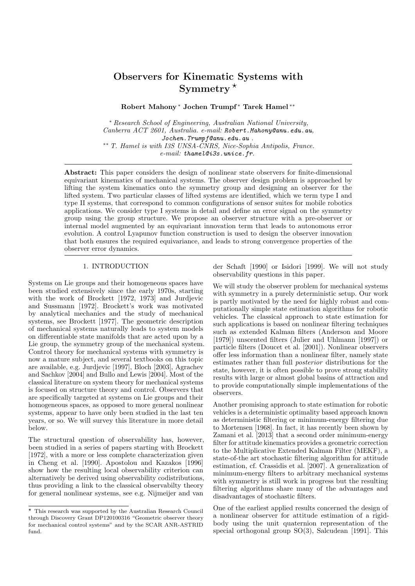# Observers for Kinematic Systems with Symmetry  $*$

Robert Mahony <sup>∗</sup> Jochen Trumpf <sup>∗</sup> Tarek Hamel ∗∗

<sup>∗</sup> Research School of Engineering, Australian National University,  $Canberra$   $ACT$   $2601$ ,  $Australia.$   $e-mail$ :  $Robert$ .Mahony@anu.edu.au, Jochen.Trumpf@anu.edu.au . ∗∗ T. Hamel is with I3S UNSA-CNRS, Nice-Sophia Antipolis, France. e-mail: thamel@i3s.unice.fr.

Abstract: This paper considers the design of nonlinear state observers for finite-dimensional equivariant kinematics of mechanical systems. The observer design problem is approached by lifting the system kinematics onto the symmetry group and designing an observer for the lifted system. Two particular classes of lifted systems are identified, which we term type I and type II systems, that correspond to common configurations of sensor suites for mobile robotics applications. We consider type I systems in detail and define an error signal on the symmetry group using the group structure. We propose an observer structure with a pre-observer or internal model augmented by an equivariant innovation term that leads to autonomous error evolution. A control Lyapunov function construction is used to design the observer innovation that both ensures the required equivariance, and leads to strong convergence properties of the observer error dynamics.

# 1. INTRODUCTION

Systems on Lie groups and their homogeneous spaces have been studied extensively since the early 1970s, starting with the work of Brockett [1972, 1973] and Jurdjevic and Sussmann [1972]. Brockett's work was motivated by analytical mechanics and the study of mechanical systems, see Brockett [1977]. The geometric description of mechanical systems naturally leads to system models on differentiable state manifolds that are acted upon by a Lie group, the symmetry group of the mechanical system. Control theory for mechanical systems with symmetry is now a mature subject, and several textbooks on this topic are available, e.g. Jurdjevic [1997], Bloch [2003], Agrachev and Sachkov [2004] and Bullo and Lewis [2004]. Most of the classical literature on system theory for mechanical systems is focused on structure theory and control. Observers that are specifically targeted at systems on Lie groups and their homogeneous spaces, as opposed to more general nonlinear systems, appear to have only been studied in the last ten years, or so. We will survey this literature in more detail below.

The structural question of observability has, however, been studied in a series of papers starting with Brockett [1972], with a more or less complete characterization given in Cheng et al. [1990]. Apostolou and Kazakos [1996] show how the resulting local observability criterion can alternatively be derived using observability codistributions, thus providing a link to the classical observabilty theory for general nonlinear systems, see e.g. Nijmeijer and van

der Schaft [1990] or Isidori [1999]. We will not study observability questions in this paper.

We will study the observer problem for mechanical systems with symmetry in a purely deterministic setup. Our work is partly motivated by the need for highly robust and computationally simple state estimation algorithms for robotic vehicles. The classical approach to state estimation for such applications is based on nonlinear filtering techniques such as extended Kalman filters (Anderson and Moore [1979]) unscented filters (Julier and Uhlmann [1997]) or particle filters (Doucet et al. [2001]). Nonlinear observers offer less information than a nonlinear filter, namely state estimates rather than full posterior distributions for the state, however, it is often possible to prove strong stability results with large or almost global basins of attraction and to provide computationally simple implementations of the observers.

Another promising approach to state estimation for robotic vehicles is a deterministic optimality based approach known as deterministic filtering or minimum-energy filtering due to Mortensen [1968]. In fact, it has recently been shown by Zamani et al. [2013] that a second order minimum-energy filter for attitude kinematics provides a geometric correction to the Multiplicative Extended Kalman Filter (MEKF), a state-of-the art stochastic filtering algorithm for attitude estimation, cf. Crassidis et al. [2007]. A generalization of minimum-energy filters to arbitrary mechanical systems with symmetry is still work in progress but the resulting filtering algorithms share many of the advantages and disadvantages of stochastic filters.

One of the earliest applied results concerned the design of a nonlinear observer for attitude estimation of a rigidbody using the unit quaternion representation of the special orthogonal group SO(3), Salcudean [1991]. This

 $^\star$  This research was supported by the Australian Research Council through Discovery Grant DP120100316 "Geometric observer theory for mechanical control systems" and by the SCAR ANR-ASTRID fund.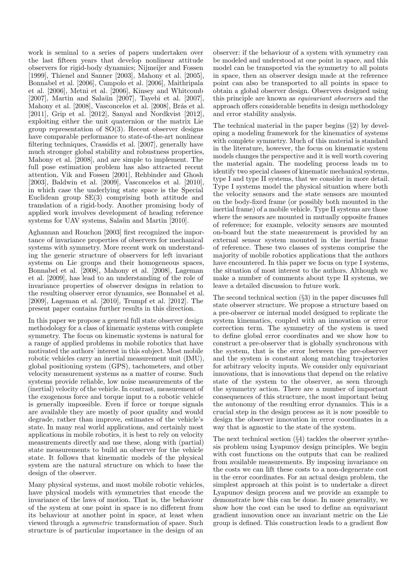work is seminal to a series of papers undertaken over the last fifteen years that develop nonlinear attitude observers for rigid-body dynamics; Nijmeijer and Fossen [1999], Thienel and Sanner [2003], Mahony et al. [2005], Bonnabel et al. [2006], Campolo et al. [2006], Maithripala et al. [2006], Metni et al. [2006], Kinsey and Whitcomb [2007], Martin and Salaün [2007], Tayebi et al. [2007], Mahony et al. [2008], Vasconcelos et al. [2008], Brás et al. [2011], Grip et al. [2012], Sanyal and Nordkvist [2012], exploiting either the unit quaternion or the matrix Lie group representation of SO(3). Recent observer designs have comparable performance to state-of-the-art nonlinear filtering techniques, Crassidis et al. [2007], generally have much stronger global stability and robustness properties, Mahony et al. [2008], and are simple to implement. The full pose estimation problem has also attracted recent attention, Vik and Fossen [2001], Rehbinder and Ghosh [2003], Baldwin et al. [2009], Vasconcelos et al. [2010], in which case the underlying state space is the Special Euclidean group SE(3) comprising both attitude and translation of a rigid-body. Another promising body of applied work involves development of heading reference systems for UAV systems, Salaün and Martin [2010].

Aghannan and Rouchon [2003] first recognized the importance of invariance properties of observers for mechanical systems with symmetry. More recent work on understanding the generic structure of observers for left invariant systems on Lie groups and their homogeneous spaces, Bonnabel et al. [2008], Mahony et al. [2008], Lageman et al. [2009], has lead to an understanding of the role of invariance properties of observer designs in relation to the resulting observer error dynamics, see Bonnabel et al. [2009], Lageman et al. [2010], Trumpf et al. [2012]. The present paper contains further results in this direction.

In this paper we propose a general full state observer design methodology for a class of kinematic systems with complete symmetry. The focus on kinematic systems is natural for a range of applied problems in mobile robotics that have motivated the authors' interest in this subject. Most mobile robotic vehicles carry an inertial measurement unit (IMU), global positioning system (GPS), tachometers, and other velocity measurement systems as a matter of course. Such systems provide reliable, low noise measurements of the (inertial) velocity of the vehicle. In contrast, measurement of the exogenous force and torque input to a robotic vehicle is generally impossible. Even if force or torque signals are available they are mostly of poor quality and would degrade, rather than improve, estimates of the vehicle's state. In many real world applications, and certainly most applications in mobile robotics, it is best to rely on velocity measurements directly and use these, along with (partial) state measurements to build an observer for the vehicle state. It follows that kinematic models of the physical system are the natural structure on which to base the design of the observer.

Many physical systems, and most mobile robotic vehicles, have physical models with symmetries that encode the invariance of the laws of motion. That is, the behaviour of the system at one point in space is no different from its behaviour at another point in space, at least when viewed through a symmetric transformation of space. Such structure is of particular importance in the design of an

observer: if the behaviour of a system with symmetry can be modeled and understood at one point in space, and this model can be transported via the symmetry to all points in space, then an observer design made at the reference point can also be transported to all points in space to obtain a global observer design. Observers designed using this principle are known as equivariant observers and the approach offers considerable benefits in design methodology and error stability analysis.

The technical material in the paper begins (§2) by developing a modeling framework for the kinematics of systems with complete symmetry. Much of this material is standard in the literature, however, the focus on kinematic system models changes the perspective and it is well worth covering the material again. The modeling process leads us to identify two special classes of kinematic mechanical systems, type I and type II systems, that we consider in more detail. Type I systems model the physical situation where both the velocity sensors and the state sensors are mounted on the body-fixed frame (or possibly both mounted in the inertial frame) of a mobile vehicle. Type II systems are those where the sensors are mounted in mutually opposite frames of reference; for example, velocity sensors are mounted on-board but the state measurement is provided by an external sensor system mounted in the inertial frame of reference. These two classes of systems comprise the majority of mobile robotics applications that the authors have encountered. In this paper we focus on type I systems, the situation of most interest to the authors. Although we make a number of comments about type II systems, we leave a detailed discussion to future work.

The second technical section (§3) in the paper discusses full state observer structure. We propose a structure based on a pre-observer or internal model designed to replicate the system kinematics, coupled with an innovation or error correction term. The symmetry of the system is used to define global error coordinates and we show how to construct a pre-observer that is globally synchronous with the system, that is the error between the pre-observer and the system is constant along matching trajectories for arbitrary velocity inputs. We consider only equivariant innovations, that is innovations that depend on the relative state of the system to the observer, as seen through the symmetry action. There are a number of important consequences of this structure, the most important being the autonomy of the resulting error dynamics. This is a crucial step in the design process as it is now possible to design the observer innovation in error coordinates in a way that is agnostic to the state of the system.

The next technical section (§4) tackles the observer synthesis problem using Lyapunov design principles. We begin with cost functions on the outputs that can be realized from available measurements. By imposing invariance on the costs we can lift these costs to a non-degenerate cost in the error coordinates. For an actual design problem, the simplest approach at this point is to undertake a direct Lyapunov design process and we provide an example to demonstrate how this can be done. In more generality, we show how the cost can be used to define an equivariant gradient innovation once an invariant metric on the Lie group is defined. This construction leads to a gradient flow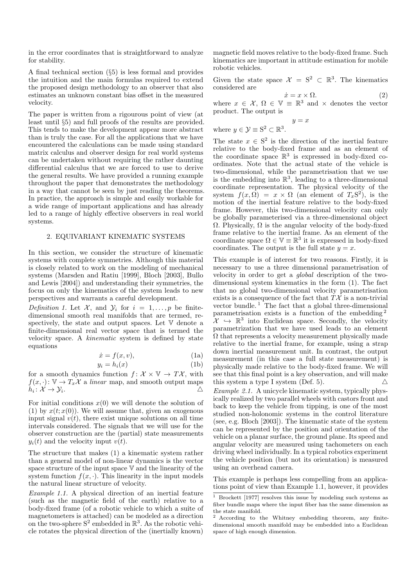in the error coordinates that is straightforward to analyze for stability.

A final technical section (§5) is less formal and provides the intuition and the main formulas required to extend the proposed design methodology to an observer that also estimates an unknown constant bias offset in the measured velocity.

The paper is written from a rigourous point of view (at least until §5) and full proofs of the results are provided. This tends to make the development appear more abstract than is truly the case. For all the applications that we have encountered the calculations can be made using standard matrix calculus and observer design for real world systems can be undertaken without requiring the rather daunting differential calculus that we are forced to use to derive the general results. We have provided a running example throughout the paper that demonstrates the methodology in a way that cannot be seen by just reading the theorems. In practice, the approach is simple and easily workable for a wide range of important applications and has already led to a range of highly effective observers in real world systems.

## 2. EQUIVARIANT KINEMATIC SYSTEMS

In this section, we consider the structure of kinematic systems with complete symmetries. Although this material is closely related to work on the modeling of mechanical systems (Marsden and Ratiu [1999], Bloch [2003], Bullo and Lewis [2004]) and understanding their symmetries, the focus on only the kinematics of the system leads to new perspectives and warrants a careful development.

Definition 1. Let  $\mathcal{X}$ , and  $\mathcal{Y}_i$  for  $i = 1, \ldots, p$  be finitedimensional smooth real manifolds that are termed, respectively, the state and output spaces. Let V denote a finite-dimensional real vector space that is termed the velocity space. A kinematic system is defined by state equations

$$
\dot{x} = f(x, v), \tag{1a}
$$

$$
y_i = h_i(x) \tag{1b}
$$

for a smooth dynamics function  $f: \mathcal{X} \times \mathbb{V} \rightarrow T\mathcal{X}$ , with  $f(x, \cdot): \mathbb{V} \to T_x \mathcal{X}$  a linear map, and smooth output maps  $h_i\colon \mathcal{X} \to \mathcal{Y}_i$ . And the contract of  $\Delta$ 

For initial conditions  $x(0)$  we will denote the solution of (1) by  $x(t; x(0))$ . We will assume that, given an exogenous input signal  $v(t)$ , there exist unique solutions on all time intervals considered. The signals that we will use for the observer construction are the (partial) state measurements  $y_i(t)$  and the velocity input  $v(t)$ .

The structure that makes (1) a kinematic system rather than a general model of non-linear dynamics is the vector space structure of the input space V and the linearity of the system function  $f(x, \cdot)$ . This linearity in the input models the natural linear structure of velocity.

Example 1.1. A physical direction of an inertial feature (such as the magnetic field of the earth) relative to a body-fixed frame (of a robotic vehicle to which a suite of magnetometers is attached) can be modeled as a direction on the two-sphere  $S^2$  embedded in  $\mathbb{R}^3$ . As the robotic vehicle rotates the physical direction of the (inertially known)

magnetic field moves relative to the body-fixed frame. Such kinematics are important in attitude estimation for mobile robotic vehicles.

Given the state space  $\mathcal{X} = S^2 \subset \mathbb{R}^3$ . The kinematics considered are

$$
\dot{x} = x \times \Omega. \tag{2}
$$

where  $x \in \mathcal{X}, \Omega \in \mathbb{V} \equiv \mathbb{R}^3$  and  $\times$  denotes the vector product. The output is

where 
$$
y \in \mathcal{Y} \equiv S^2 \subset \mathbb{R}^3
$$
.  
  $y = x$ 

The state  $x \in S^2$  is the direction of the inertial feature relative to the body-fixed frame and as an element of the coordinate space  $\mathbb{R}^3$  is expressed in body-fixed coordinates. Note that the actual state of the vehicle is two-dimensional, while the parametrisation that we use is the embedding into  $\mathbb{R}^3$ , leading to a three-dimensional coordinate representation. The physical velocity of the system  $f(x, \Omega) = x \times \Omega$  (an element of  $T_xS^2$ ), is the motion of the inertial feature relative to the body-fixed frame. However, this two-dimensional velocity can only be globally parameterised via a three-dimensional object Ω. Physically, Ω is the angular velocity of the body-fixed frame relative to the inertial frame. As an element of the coordinate space  $\Omega \in \mathbb{V} \equiv \mathbb{R}^3$  it is expressed in body-fixed coordinates. The output is the full state  $y = x$ .

This example is of interest for two reasons. Firstly, it is necessary to use a three dimensional parametrisation of velocity in order to get a global description of the twodimensional system kinematics in the form (1). The fact that no global two-dimensional velocity parametrisation exists is a consequence of the fact that  $T\mathcal{X}$  is a non-trivial vector bundle.<sup>1</sup> The fact that a global three-dimensional parametrisation exists is a function of the embedding <sup>2</sup>  $\mathcal{X} \hookrightarrow \mathbb{R}^3$  into Euclidean space. Secondly, the velocity parametrization that we have used leads to an element  $\Omega$  that represents a velocity measurement physically made relative to the inertial frame, for example, using a strap down inertial measurement unit. In contrast, the output measurement (in this case a full state measurement) is physically made relative to the body-fixed frame. We will see that this final point is a key observation, and will make this system a type I system (Def. 5).  $\triangle$ 

Example 2.1. A unicycle kinematic system, typically physically realized by two parallel wheels with castors front and back to keep the vehicle from tipping, is one of the most studied non-holonomic systems in the control literature (see, e.g. Bloch [2003]). The kinematic state of the system can be represented by the position and orientation of the vehicle on a planar surface, the ground plane. Its speed and angular velocity are measured using tachometers on each driving wheel individually. In a typical robotics experiment the vehicle position (but not its orientation) is measured using an overhead camera.

This example is perhaps less compelling from an applications point of view than Example 1.1, however, it provides

<sup>1</sup> Brockett [1977] resolves this issue by modeling such systems as fiber bundle maps where the input fiber has the same dimension as the state manifold.

<sup>2</sup> According to the Whitney embedding theorem, any finitedimensional smooth manifold may be embedded into a Euclidean space of high enough dimension.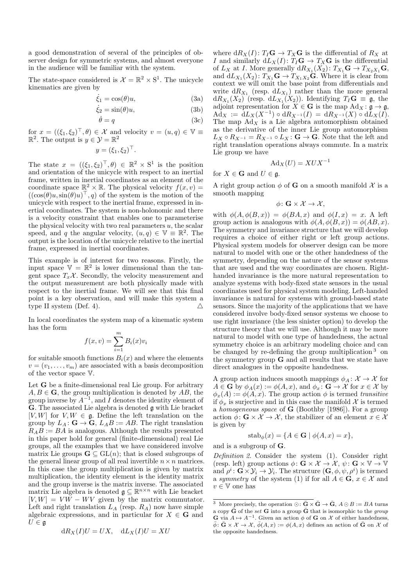a good demonstration of several of the principles of observer design for symmetric systems, and almost everyone in the audience will be familiar with the system.

The state-space considered is  $\mathcal{X} = \mathbb{R}^2 \times S^1$ . The unicycle kinematics are given by

$$
\dot{\xi}_1 = \cos(\theta)u,\tag{3a}
$$

$$
\dot{\xi}_2 = \sin(\theta)u,\tag{3b}
$$

$$
\dot{\theta} = q \tag{3c}
$$

for  $x = ((\xi_1, \xi_2)^\top, \theta) \in \mathcal{X}$  and velocity  $v = (u, q) \in \mathbb{V} \equiv$  $\mathbb{R}^2$ . The output is  $y \in \mathcal{Y} = \mathbb{R}^2$ 

$$
y=(\xi_1,\xi_2)^\top.
$$

The state  $x = ((\xi_1, \xi_2)^{\top}, \theta) \in \mathbb{R}^2 \times S^1$  is the position and orientation of the unicycle with respect to an inertial frame, written in inertial coordinates as an element of the coordinate space  $\mathbb{R}^2 \times \mathbb{R}$ . The physical velocity  $f(x, v) =$  $((\cos(\theta)u, \sin(\theta)u)^\top, q)$  of the system is the motion of the unicycle with respect to the inertial frame, expressed in inertial coordinates. The system is non-holonomic and there is a velocity constraint that enables one to parameterise the physical velocity with two real parameters  $u$ , the scalar speed, and q the angular velocity,  $(u, q) \in \mathbb{V} \equiv \mathbb{R}^2$ . The output is the location of the unicycle relative to the inertial frame, expressed in inertial coordinates.

This example is of interest for two reasons. Firstly, the input space  $\nabla = \mathbb{R}^2$  is lower dimensional than the tangent space  $T_x\mathcal{X}$ . Secondly, the velocity measurement and the output measurement are both physically made with respect to the inertial frame. We will see that this final point is a key observation, and will make this system a type II system (Def. 4).  $\triangle$ 

In local coordinates the system map of a kinematic system has the form

$$
f(x,v) = \sum_{i=1}^{m} B_i(x)v_i
$$

for suitable smooth functions  $B_i(x)$  and where the elements  $v = (v_1, \ldots, v_m)$  are associated with a basis decomposition of the vector space V.

Let **G** be a finite-dimensional real Lie group. For arbitrary  $A, B \in \mathbf{G}$ , the group multiplication is denoted by AB, the group inverse by  $A^{-1}$ , and I denotes the identity element of G. The associated Lie algebra is denoted g with Lie bracket  $[V, W]$  for  $V, W \in \mathfrak{g}$ . Define the left translation on the group by  $L_A: \mathbf{G} \to \mathbf{G}, L_A B := AB$ . The right translation  $R_A B := BA$  is analogous. Although the results presented in this paper hold for general (finite-dimensional) real Lie groups, all the examples that we have considered involve matrix Lie groups  $\mathbf{G} \subseteq \mathrm{GL}(n)$ ; that is closed subgroups of the general linear group of all real invertible  $n \times n$  matrices. In this case the group multiplication is given by matrix multiplication, the identity element is the identity matrix and the group inverse is the matrix inverse. The associated matrix Lie algebra is denoted  $\mathfrak{g} \subseteq \mathbb{R}^{n \times n}$  with Lie bracket  $[V, W] = VW - WV$  given by the matrix commutator. Left and right translation  $L_A$  (resp.  $R_A$ ) now have simple algebraic expressions, and in particular for  $X \in \mathbf{G}$  and  $U \in \mathfrak{g}$ 

$$
dR_X(I)U = UX, \quad dL_X(I)U = XU
$$

where  $dR_X(I): T_I \mathbf{G} \to T_X \mathbf{G}$  is the differential of  $R_X$  at I and similarly  $dL_X(I)$ :  $T_I \mathbf{G} \to T_X \mathbf{G}$  is the differential of  $L_X$  at I. More generally  $dR_{X_1}(X_2)$ :  $T_{X_1} \mathbf{G} \to T_{X_2 X_1} \mathbf{G}$ , and  $dL_{X_1}(X_2)$ :  $T_{X_1}$ **G**  $\rightarrow$   $T_{X_1X_2}$ **G**. Where it is clear from context we will omit the base point from differentials and write  $dR_{X_1}$  (resp.  $dL_{X_1}$ ) rather than the more general  $dR_{X_1}(X_2)$  (resp.  $dL_{X_1}(X_2)$ ). Identifying  $T_I\mathbf{G} \equiv \mathfrak{g}$ , the adjoint representation for  $X \in \mathbf{G}$  is the map  $\text{Ad}_X : \mathfrak{g} \to \mathfrak{g}$ ,  $\mathrm{Ad}_X := \mathrm{d} L_X(X^{-1}) \circ \mathrm{d} R_{X^{-1}}(I) = \mathrm{d} R_{X^{-1}}(X) \circ \mathrm{d} L_X(I).$ The map  $Ad_X$  is a Lie algebra automorphism obtained as the derivative of the inner Lie group automorphism  $L_X \circ R_{X^{-1}} = R_{X^{-1}} \circ L_X : \mathbf{G} \to \mathbf{G}$ . Note that the left and right translation operations always commute. In a matrix Lie group we have

$$
Ad_X(U) = XUX^{-1}
$$

for  $X \in \mathbf{G}$  and  $U \in \mathfrak{a}$ .

A right group action  $\phi$  of **G** on a smooth manifold X is a smooth mapping

$$
\phi\colon \mathbf{G}\times\mathcal{X}\to\mathcal{X},
$$

with  $\phi(A, \phi(B, x)) = \phi(BA, x)$  and  $\phi(I, x) = x$ . A left group action is analogous with  $\phi(A, \phi(B, x)) = \phi(AB, x)$ . The symmetry and invariance structure that we will develop requires a choice of either right or left group actions. Physical system models for observer design can be more natural to model with one or the other handedness of the symmetry, depending on the nature of the sensor systems that are used and the way coordinates are chosen. Righthanded invariance is the more natural representation to analyze systems with body-fixed state sensors in the usual coordinates used for physical system modeling. Left-handed invariance is natural for systems with ground-based state sensors. Since the majority of the applications that we have considered involve body-fixed sensor systems we choose to use right invariance (the less sinister option) to develop the structure theory that we will use. Although it may be more natural to model with one type of handedness, the actual symmetry choice is an arbitrary modeling choice and can be changed by re-defining the group multiplication  $3$  on the symmetry group G and all results that we state have direct analogues in the opposite handedness.

A group action induces smooth mappings  $\phi_A\colon \mathcal{X}\to \mathcal{X}$  for  $A \in \mathbf{G}$  by  $\phi_A(x) := \phi(A, x)$ , and  $\phi_x : \mathbf{G} \to \mathcal{X}$  for  $x \in \mathcal{X}$  by  $\phi_x(A) := \phi(A, x)$ . The group action  $\phi$  is termed transitive if  $\phi_x$  is surjective and in this case the manifold X is termed a homogeneous space of G (Boothby [1986]). For a group action  $\phi: \mathbf{G} \times \mathcal{X} \to \mathcal{X}$ , the stabilizer of an element  $x \in \mathcal{X}$ is given by

$$
stab_{\phi}(x) = \{ A \in \mathbf{G} \mid \phi(A, x) = x \},
$$

and is a subgroup of G.

Definition 2. Consider the system (1). Consider right (resp. left) group actions  $\phi: \mathbf{G} \times \mathcal{X} \to \mathcal{X}, \psi: \mathbf{G} \times \mathbb{V} \to \mathbb{V}$ and  $\rho^i$ :  $\mathbf{G} \times \mathcal{Y}_i \to \mathcal{Y}_i$ . The structure  $(\mathbf{G}, \phi, \psi, \rho^i)$  is termed a symmetry of the system (1) if for all  $A \in \mathbf{G}$ ,  $x \in \mathcal{X}$  and  $v \in V$  one has

<sup>&</sup>lt;sup>3</sup> More precisely, the operation  $\odot: \mathbf{\bar{G}} \times \mathbf{\bar{G}} \to \mathbf{\bar{G}}$ ,  $A \odot B := BA$  turns a copy  $\bar{G}$  of the set **G** into a group  $\bar{G}$  that is isomorphic to the group **G** via  $A \mapsto A^{-1}$ . Given an action  $\phi$  of **G** on X of either handedness,  $\bar{\phi}$ :  $\bar{\mathbf{G}} \times \mathcal{X} \to \mathcal{X}$ ,  $\bar{\phi}(A, x) := \phi(A, x)$  defines an action of  $\bar{\mathbf{G}}$  on X of the opposite handedness.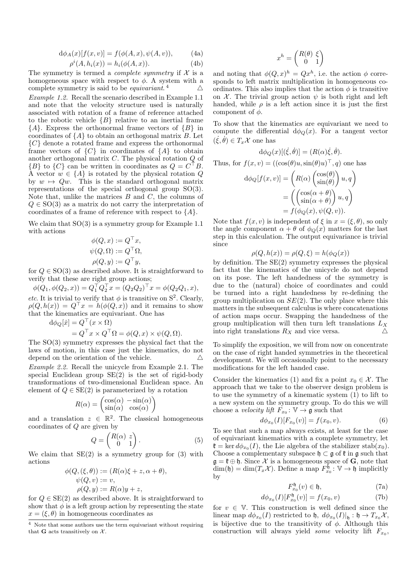$$
d\phi_A(x)[f(x,v)] = f(\phi(A,x), \psi(A,v)), \quad (4a)
$$

$$
\rho^{i}(A, h_i(x)) = h_i(\phi(A, x)). \tag{4b}
$$

The symmetry is termed a *complete symmetry* if  $\mathcal{X}$  is a homogeneous space with respect to  $\phi$ . A system with a complete symmetry is said to be *equivariant*.<sup>4</sup>  $\Delta$ 

Example 1.2. Recall the scenario described in Example 1.1 and note that the velocity structure used is naturally associated with rotation of a frame of reference attached to the robotic vehicle  ${B}$  relative to an inertial frame  ${A}$ . Express the orthonormal frame vectors of  ${B}$  in coordinates of  $\{A\}$  to obtain an orthogonal matrix  $B$ . Let  ${C}$  denote a rotated frame and express the orthonormal frame vectors of  $\{C\}$  in coordinates of  $\{A\}$  to obtain another orthogonal matrix  $C$ . The physical rotation  $Q$  of  ${B}$  to  ${C}$  can be written in coordinates as  $Q = C<sup>T</sup>B$ . A vector  $w \in \{A\}$  is rotated by the physical rotation Q by  $w \mapsto Qw$ . This is the standard orthogonal matrix representations of the special orthogonal group SO(3). Note that, unlike the matrices  $B$  and  $C$ , the columns of  $Q \in SO(3)$  as a matrix do not carry the interpretation of coordinates of a frame of reference with respect to  ${A}.$ 

We claim that SO(3) is a symmetry group for Example 1.1 with actions

$$
\phi(Q, x) := Q^{\top} x,
$$
  
\n
$$
\psi(Q, \Omega) := Q^{\top} \Omega,
$$
  
\n
$$
\rho(Q, y) := Q^{\top} y,
$$

for  $Q \in SO(3)$  as described above. It is straightforward to verify that these are right group actions;

$$
\phi(Q_1, \phi(Q_2, x)) = Q_1^\top Q_2^\top x = (Q_2 Q_2)^\top x = \phi(Q_2 Q_1, x),
$$
  
etc. It is trivial to verify that  $\phi$  is transitive on S<sup>2</sup>. Clearly,

 $\rho(Q, h(x)) = Q^{\top}x = h(\phi(Q, x))$  and it remains to show that the kinematics are equivariant. One has

$$
d\phi_Q[\dot{x}] = Q^\top(x \times \Omega)
$$
  
=  $Q^\top x \times Q^\top \Omega = \phi(Q, x) \times \psi(Q, \Omega).$ 

The SO(3) symmetry expresses the physical fact that the laws of motion, in this case just the kinematics, do not depend on the orientation of the vehicle.  $\triangle$ Example 2.2. Recall the unicycle from Example 2.1. The special Euclidean group  $SE(2)$  is the set of rigid-body transformations of two-dimensional Euclidean space. An element of  $Q \in SE(2)$  is parameterized by a rotation

$$
R(\alpha) = \begin{pmatrix} \cos(\alpha) & -\sin(\alpha) \\ \sin(\alpha) & \cos(\alpha) \end{pmatrix}
$$

and a translation  $z \in \mathbb{R}^2$ . The classical homogeneous coordinates of Q are given by

$$
Q = \begin{pmatrix} R(\alpha) & z \\ 0 & 1 \end{pmatrix} . \tag{5}
$$

We claim that  $SE(2)$  is a symmetry group for  $(3)$  with actions

$$
\phi(Q, (\xi, \theta)) := (R(\alpha)\xi + z, \alpha + \theta),
$$
  

$$
\psi(Q, v) := v,
$$
  

$$
\rho(Q, y) := R(\alpha)y + z,
$$

for  $Q \in SE(2)$  as described above. It is straightforward to show that  $\phi$  is a left group action by representing the state  $x = (\xi, \theta)$  in homogeneous coordinates as

<sup>4</sup> Note that some authors use the term equivariant without requiring that **G** acts transitively on  $X$ .

$$
x^h=\begin{pmatrix} R(\theta)\ \xi \\ 0\ \ 1 \end{pmatrix}
$$

and noting that  $\phi(Q, x)^h = Qx^h$ , i.e. the action  $\phi$  corresponds to left matrix multiplication in homogeneous coordinates. This also implies that the action  $\phi$  is transitive on X. The trivial group action  $\psi$  is both right and left handed, while  $\rho$  is a left action since it is just the first component of  $\phi$ .

To show that the kinematics are equivariant we need to compute the differential  $d\phi_Q(x)$ . For a tangent vector  $(\dot{\xi}, \dot{\theta}) \in T_x \mathcal{X}$  one has

$$
d\phi_Q(x)[(\dot{\xi}, \dot{\theta})] = (R(\alpha)\dot{\xi}, \dot{\theta}).
$$
  
Thus, for  $f(x, v) = ((\cos(\theta)u, \sin(\theta)u)^{\top}, q)$  one has  

$$
d\phi_Q[f(x, v)] = \left(R(\alpha) \begin{pmatrix} \cos(\theta) \\ \sin(\theta) \end{pmatrix} u, q\right)
$$

$$
\begin{aligned} \Phi Q[J(x, v)] &= \left( \frac{R(\alpha)}{\sin(\theta)} \right)^{u, q} \\ &= \left( \left( \frac{\cos(\alpha + \theta)}{\sin(\alpha + \theta)} \right) u, q \right) \\ &= f(\phi_Q(x), \psi(Q, v)). \end{aligned}
$$

Note that  $f(x, v)$  is independent of  $\xi$  in  $x = (\xi, \theta)$ , so only the angle component  $\alpha + \theta$  of  $\phi_Q(x)$  matters for the last step in this calculation. The output equivariance is trivial since

$$
\rho(Q, h(x)) = \rho(Q, \xi) = h(\phi_Q(x))
$$

by definition. The SE(2) symmetry expresses the physical fact that the kinematics of the unicycle do not depend on its pose. The left handedness of the symmetry is due to the (natural) choice of coordinates and could be turned into a right handedness by re-defining the group multiplication on  $SE(2)$ . The only place where this matters in the subsequent calculus is where concatenations of action maps occur. Swapping the handedness of the group multiplication will then turn left translations  $L_X$ into right translations  $R_X$  and vice versa.  $\triangle$ 

To simplify the exposition, we will from now on concentrate on the case of right handed symmetries in the theoretical development. We will occasionally point to the necessary modifications for the left handed case.

Consider the kinematics (1) and fix a point  $x_0 \in \mathcal{X}$ . The approach that we take to the observer design problem is to use the symmetry of a kinematic system (1) to lift to a new system on the symmetry group. To do this we will choose a velocity lift  $\tilde{F}_{x_0}$ :  $\mathbb{V} \to \mathfrak{g}$  such that

$$
d\phi_{x_0}(I)[F_{x_0}(v)] = f(x_0, v). \tag{6}
$$

To see that such a map always exists, at least for the case of equivariant kinematics with a complete symmetry, let  $\mathfrak{k} = \ker d\phi_{x_0}(I)$ , the Lie algebra of the stabilizer stab $(x_0)$ . Choose a complementary subspace  $\mathfrak{h} \subset \mathfrak{g}$  of  $\mathfrak{k}$  in  $\mathfrak{g}$  such that  $\mathfrak{g} = \mathfrak{k} \oplus \mathfrak{h}$ . Since X is a homogeneous space of **G**, note that  $\dim(\mathfrak{h}) = \dim(T_x \mathcal{X})$ . Define a map  $F_{x_0}^{\mathfrak{h}} : \mathbb{V} \to \mathfrak{h}$  implicitly by

$$
F_{x_0}^{\mathfrak{h}}(v) \in \mathfrak{h},\tag{7a}
$$

$$
d\phi_{x_0}(I)[F_{x_0}^{\mathfrak{h}}(v)] = f(x_0, v) \tag{7b}
$$

for  $v \in V$ . This construction is well defined since the linear map  $d\phi_{x_0}(I)$  restricted to  $\mathfrak{h}, d\phi_{x_0}(I)|_{\mathfrak{h}} : \mathfrak{h} \to T_{x_0} \mathcal{X},$ is bijective due to the transitivity of  $\phi$ . Although this construction will always yield *some* velocity lift  $F_{x_0}$ ,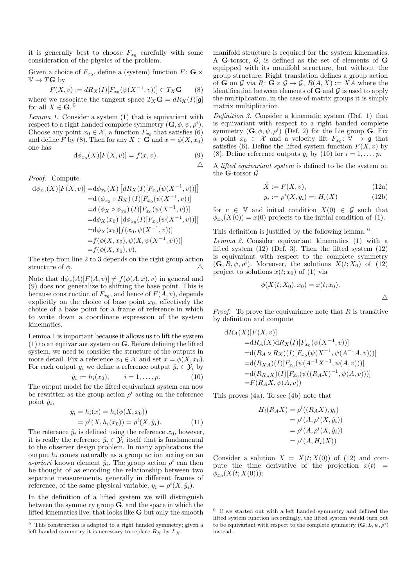it is generally best to choose  $F_{x_0}$  carefully with some consideration of the physics of the problem.

Given a choice of  $F_{x_0}$ , define a (system) function  $F: \mathbf{G} \times$  $\mathbb{V} \to T\mathbf{G}$  by

$$
F(X, v) := dR_X(I)[F_{x_0}(\psi(X^{-1}, v))] \in T_X \mathbf{G} \qquad (8)
$$

where we associate the tangent space  $T_X \mathbf{G} = dR_X(I)[\mathfrak{g}]$ for all  $X \in \mathbf{G}$ .<sup>5</sup>

Lemma 1. Consider a system  $(1)$  that is equivariant with respect to a right handed complete symmetry  $(G, \phi, \psi, \rho^i)$ . Choose any point  $x_0 \in \mathcal{X}$ , a function  $F_{x_0}$  that satisfies (6) and define F by (8). Then for any  $X \in \mathbf{G}$  and  $x = \phi(X, x_0)$ one has

$$
d\phi_{x_0}(X)[F(X,v)] = f(x,v).
$$
 (9)

 $\triangle$ 

Proof: Compute

$$
d\phi_{x_0}(X)[F(X,v)] = d\phi_{x_0}(X) [dR_X(I)[F_{x_0}(\psi(X^{-1}, v))]]
$$
  
\n
$$
= d(\phi_{x_0} \circ R_X) (I)[F_{x_0}(\psi(X^{-1}, v))]
$$
  
\n
$$
= d(\phi_X \circ \phi_{x_0}) (I)[F_{x_0}(\psi(X^{-1}, v))]
$$
  
\n
$$
= d\phi_X(x_0) [d\phi_{x_0}(I)[F_{x_0}(\psi(X^{-1}, v))]]
$$
  
\n
$$
= d\phi_X(x_0)[f(x_0, \psi(X^{-1}, v))]
$$
  
\n
$$
= f(\phi(X, x_0), v).
$$

The step from line 2 to 3 depends on the right group action structure of  $\phi$ .

Note that  $d\phi_x(A)[F(A, v)] \neq f(\phi(A, x), v)$  in general and (9) does not generalize to shifting the base point. This is because construction of  $F_{x_0}$ , and hence of  $F(A, v)$ , depends explicitly on the choice of base point  $x_0$ , effectively the choice of a base point for a frame of reference in which to write down a coordinate expression of the system kinematics.

Lemma 1 is important because it allows us to lift the system (1) to an equivariant system on G. Before defining the lifted system, we need to consider the structure of the outputs in more detail. Fix a reference  $x_0 \in \mathcal{X}$  and set  $x = \phi(X, x_0)$ . For each output  $y_i$  we define a reference output  $\hat{y}_i \in \mathcal{Y}_i$  by

$$
\hat{y}_i := h_i(x_0), \qquad i = 1, \dots, p.
$$
 (10)

The output model for the lifted equivariant system can now be rewritten as the group action  $\rho^i$  acting on the reference point  $\mathring{y}_i$ ,

$$
y_i = h_i(x) = h_i(\phi(X, x_0))
$$
  
=  $\rho^i(X, h_i(x_0)) = \rho^i(X, \mathring{y}_i).$  (11)

The reference  $\dot{y}_i$  is defined using the reference  $x_0$ , however, it is really the reference  $\mathring{y}_i \in \mathcal{Y}_i$  itself that is fundamental to the observer design problem. In many applications the output  $h_i$  comes naturally as a group action acting on an a-priori known element  $\mathring{y}_i$ . The group action  $\rho^i$  can then be thought of as encoding the relationship between two separate measurements, generally in different frames of reference, of the same physical variable,  $y_i = \rho^i(X, \hat{y}_i)$ .

In the definition of a lifted system we will distinguish between the symmetry group G, and the space in which the lifted kinematics live; that looks like G but only the smooth manifold structure is required for the system kinematics. A G-torsor,  $\mathcal{G}$ , is defined as the set of elements of G equipped with its manifold structure, but without the group structure. Right translation defines a group action of **G** on  $\mathcal G$  via  $R: \mathbf{G} \times \mathcal G \to \mathcal G$ ,  $R(A, X) := XA$  where the identification between elements of  $G$  and  $\mathcal G$  is used to apply the multiplication, in the case of matrix groups it is simply matrix multiplication.

Definition 3. Consider a kinematic system (Def. 1) that is equivariant with respect to a right handed complete symmetry  $(G, \phi, \psi, \rho^i)$  (Def. 2) for the Lie group G. Fix a point  $x_0 \in \mathcal{X}$  and a velocity lift  $F_{x_0} : \mathbb{V} \to \mathfrak{g}$  that satisfies (6). Define the lifted system function  $F(X, v)$  by (8). Define reference outputs  $\mathring{y}_i$  by (10) for  $i = 1, \ldots, p$ .

A lifted equivariant system is defined to be the system on the **G**-torsor  $\mathcal{G}$ 

$$
\dot{X} := F(X, v),\tag{12a}
$$

$$
y_i := \rho^i(X, \mathring{y}_i) =: H_i(X) \tag{12b}
$$

for  $v \in V$  and initial condition  $X(0) \in \mathcal{G}$  such that  $\phi_{x_0}(X(0)) = x(0)$  projects to the initial condition of (1).

This definition is justified by the following lemma. <sup>6</sup>

Lemma 2. Consider equivariant kinematics (1) with a lifted system (12) (Def. 3). Then the lifted system (12) is equivariant with respect to the complete symmetry  $(G, R, \psi, \rho^i)$ . Moreover, the solutions  $X(t; X_0)$  of  $(12)$ project to solutions  $x(t; x_0)$  of (1) via

$$
\phi(X(t; X_0), x_0) = x(t; x_0).
$$

*Proof:* To prove the equivariance note that  $R$  is transitive by definition and compute

$$
dR_A(X)[F(X, v)]
$$
  
= $dR_A(X)dR_X(I)[F_{x_0}(\psi(X^{-1}, v))]$   
= $d(R_A \circ R_X)(I)[F_{x_0}(\psi(X^{-1}, \psi(A^{-1}A, v)))]$   
= $d(R_{XA})(I)[F_{x_0}(\psi(A^{-1}X^{-1}, \psi(A, v)))]$   
= $d(R_{R_A X})(I)[F_{x_0}(\psi((R_A X)^{-1}, \psi(A, v)))]$   
= $F(R_A X, \psi(A, v))$ 

This proves (4a). To see (4b) note that

$$
H_i(R_A X) = \rho^i((R_A X), \mathring{y}_i)
$$
  
= 
$$
\rho^i(A, \rho^i(X, \mathring{y}_i))
$$
  
= 
$$
\rho^i(A, \rho^i(X, \mathring{y}_i))
$$
  
= 
$$
\rho^i(A, H_i(X))
$$

Consider a solution  $X = X(t; X(0))$  of (12) and compute the time derivative of the projection  $x(t)$  =  $\phi_{x_0}(X(t;X(0)))$ :

 $^5\,$  This construction is adapted to a right handed symmetry; given a left handed symmetry it is necessary to replace  $R_X$  by  $L_X$ .

<sup>6</sup> If we started out with a left handed symmetry and defined the lifted system function accordingly, the lifted system would turn out to be equivariant with respect to the complete symmetry  $(G, L, \psi, \rho^i)$ instead.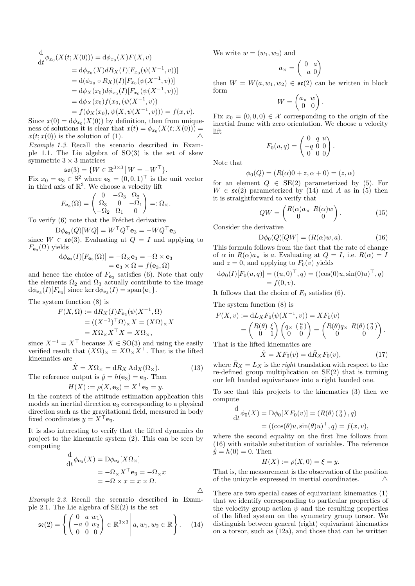$$
\frac{d}{dt}\phi_{x_0}(X(t;X(0))) = d\phi_{x_0}(X)F(X,v) \n= d\phi_{x_0}(X)dR_X(I)[F_{x_0}(\psi(X^{-1},v))] \n= d(\phi_{x_0} \circ R_X)(I)[F_{x_0}(\psi(X^{-1},v))] \n= d\phi_X(x_0)d\phi_{x_0}(I)[F_{x_0}(\psi(X^{-1},v))] \n= d\phi_X(x_0)f(x_0,(\psi(X^{-1},v)) \n= f(\phi_X(x_0), \psi(X, \psi(X^{-1}, v))) = f(x, v).
$$

Since  $x(0) = d\phi_{x_0}(X(0))$  by definition, then from uniqueness of solutions it is clear that  $x(t) = \phi_{x_0}(X(t; X(0))) =$  $x(t; x(0))$  is the solution of (1).

Example 1.3. Recall the scenario described in Example 1.1. The Lie algebra of  $SO(3)$  is the set of skew symmetric  $3 \times 3$  matrices

$$
\mathfrak{so}(3) = \{ W \in \mathbb{R}^{3 \times 3} \, | \, W = -W^{\top} \}.
$$

Fix  $x_0 = \mathbf{e}_3 \in \mathbb{S}^2$  where  $\mathbf{e}_3 = (0, 0, 1)^\top$  is the unit vector in third axis of  $\mathbb{R}^3$ . We choose a velocity lift

$$
F_{\mathbf{e}_3}(\Omega) = \begin{pmatrix} 0 & -\Omega_3 & \Omega_2 \\ \Omega_3 & 0 & -\Omega_1 \\ -\Omega_2 & \Omega_1 & 0 \end{pmatrix} =: \Omega_{\times}.
$$

To verify  $(6)$  note that the Fréchet derivative

 $\mathrm{D} \phi_{\mathbf{e}_3}(Q) [W Q] = W^\top Q^\top \mathbf{e}_3 = -W Q^\top \mathbf{e}_3$ 

since  $W \in \mathfrak{so}(3)$ . Evaluating at  $Q = I$  and applying to  $F_{\mathbf{e}_3}(\Omega)$  yields

$$
d\phi_{\mathbf{e}_3}(I)[F_{\mathbf{e}_3}(\Omega)] = -\Omega_{\times}\mathbf{e}_3 = -\Omega \times \mathbf{e}_3
$$
  
=  $\mathbf{e}_3 \times \Omega = f(\mathbf{e}_3, \Omega)$ 

and hence the choice of  $F_{\mathbf{e}_3}$  satisfies (6). Note that only the elements  $\Omega_2$  and  $\Omega_3$  actually contribute to the image  $d\phi_{\mathbf{e}_3}(I)[F_{\mathbf{e}_3}]$  since ker  $d\phi_{\mathbf{e}_3}(I) = \text{span}\{\mathbf{e}_1\}.$ 

The system function (8) is

$$
F(X, \Omega) := dR_X(I)F_{\mathbf{e}_3}(\psi(X^{-1}, \Omega)
$$
  
= 
$$
((X^{-1})^{\top}\Omega)_\times X = (X\Omega)_\times X
$$
  
= 
$$
X\Omega_\times X^{\top} X = X\Omega_\times,
$$

since  $X^{-1} = X^{\top}$  because  $X \in SO(3)$  and using the easily verified result that  $(X\Omega)_\times = X\Omega_\times X^\top$ . That is the lifted kinematics are

$$
\dot{X} = X\Omega_{\times} = dR_X \operatorname{Ad}_X(\Omega_{\times}).
$$
\nThe reference output is  $\hat{y} = h(\mathbf{e}_3) = \mathbf{e}_3$ . Then

$$
H(Y) = \begin{pmatrix} Y & 1 \end{pmatrix} \qquad Y^{\top} = \begin{pmatrix} 1 & 1 \end{pmatrix}
$$

$$
H(X) := \rho(X, \mathbf{e}_3) = X^\top \mathbf{e}_3 = y.
$$

In the context of the attitude estimation application this models an inertial direction  $e_3$  corresponding to a physical direction such as the gravitational field, measured in body fixed coordinates  $y = X^\dagger \mathbf{e}_3$ .

It is also interesting to verify that the lifted dynamics do project to the kinematic system (2). This can be seen by computing

$$
\frac{\mathrm{d}}{\mathrm{d}t}\phi_{\mathbf{e}_3}(X) = \mathbf{D}\phi_{\mathbf{e}_3}[X\Omega_\times] \n= -\Omega_\times X^\top \mathbf{e}_3 = -\Omega_\times x \n= -\Omega \times x = x \times \Omega.
$$

 $\wedge$ 

Example 2.3. Recall the scenario described in Example 2.1. The Lie algebra of SE(2) is the set

$$
\mathfrak{se}(2) = \left\{ \begin{pmatrix} 0 & a & w_1 \\ -a & 0 & w_2 \\ 0 & 0 & 0 \end{pmatrix} \in \mathbb{R}^{3 \times 3} \middle| a, w_1, w_2 \in \mathbb{R} \right\}.
$$
 (14)

We write  $w = (w_1, w_2)$  and

$$
a_{\times} = \begin{pmatrix} 0 & a \\ -a & 0 \end{pmatrix}
$$

then  $W = W(a, w_1, w_2) \in \mathfrak{se}(2)$  can be written in block form

$$
W = \begin{pmatrix} a_{\times} & w \\ 0 & 0 \end{pmatrix}.
$$

Fix  $x_0 = (0, 0, 0) \in \mathcal{X}$  corresponding to the origin of the inertial frame with zero orientation. We choose a velocity lift

$$
F_0(u,q) = \begin{pmatrix} 0 & q & u \\ -q & 0 & 0 \\ 0 & 0 & 0 \end{pmatrix}.
$$

Note that

$$
\phi_0(Q) = (R(\alpha)0 + z, \alpha + 0) = (z, \alpha)
$$

for an element  $Q \in \text{SE}(2)$  parameterized by (5). For  $W \in \mathfrak{se}(2)$  parameterized by (14) and A as in (5) then it is straightforward to verify that

$$
QW = \begin{pmatrix} R(\alpha)a_{\times} & R(\alpha)w \\ 0 & 0 \end{pmatrix}.
$$
 (15)

Consider the derivative

$$
D\phi_0(Q)[QW] = (R(\alpha)w, a). \tag{16}
$$

This formula follows from the fact that the rate of change of  $\alpha$  in  $R(\alpha)a_{\times}$  is a. Evaluating at  $Q = I$ , i.e.  $R(\alpha) = I$ and  $z = 0$ , and applying to  $F_0(v)$  yields

$$
d\phi_0(I)[F_0(u,q)] = ((u,0)^{\top}, q) = ((\cos(0)u, \sin(0)u)^{\top}, q)
$$
  
= f(0, v).

It follows that the choice of  $F_0$  satisfies (6).

The system function (8) is

$$
F(X, v) := dL_X F_0(\psi(X^{-1}, v)) = X F_0(v)
$$
  
=  $\begin{pmatrix} R(\theta) & \xi \\ 0 & 1 \end{pmatrix} \begin{pmatrix} q_{\times} & \binom{u}{0} \\ 0 & 0 \end{pmatrix} = \begin{pmatrix} R(\theta)q_{\times} & R(\theta) & \binom{u}{0} \\ 0 & 0 \end{pmatrix}.$   
That is the lifted diamematics are

That is the lifted kinematics are

$$
\dot{X} = XF_0(v) = \mathrm{d}\bar{R}_X F_0(v),\tag{17}
$$

where  $\bar{R}_X = L_X$  is the *right* translation with respect to the re-defined group multiplication on SE(2) that is turning our left handed equivariance into a right handed one.

To see that this projects to the kinematics (3) then we compute

$$
\frac{d}{dt}\phi_0(X) = D\phi_0[XF_0(v)] = (R(\theta) \left( \begin{smallmatrix} u \\ 0 \end{smallmatrix} \right), q) \n= ((\cos(\theta)u, \sin(\theta)u)^{\top}, q) = f(x, v),
$$

where the second equality on the first line follows from (16) with suitable substitution of variables. The reference  $\mathring{y} = h(0) = 0.$  Then

$$
H(X) := \rho(X, 0) = \xi = y.
$$

That is, the measurement is the observation of the position of the unicycle expressed in inertial coordinates.  $\Delta$ 

There are two special cases of equivariant kinematics (1) that we identify corresponding to particular properties of the velocity group action  $\psi$  and the resulting properties of the lifted system on the symmetry group torsor. We distinguish between general (right) equivariant kinematics on a torsor, such as (12a), and those that can be written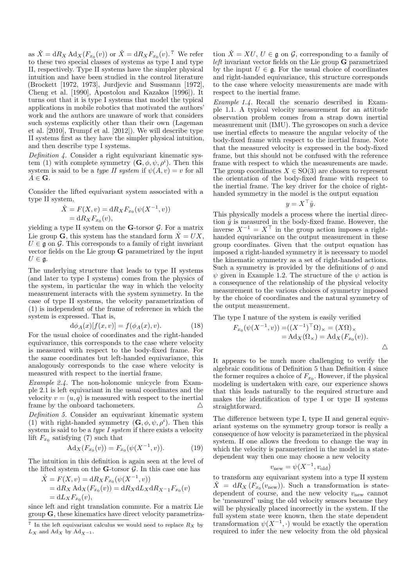as  $\dot{X} = dR_X A d_X(F_{x_0}(v))$  or  $\dot{X} = dR_X F_{x_0}(v)$ .<sup>7</sup> We refer to these two special classes of systems as type I and type II, respectively. Type II systems have the simpler physical intuition and have been studied in the control literature (Brockett [1972, 1973], Jurdjevic and Sussmann [1972], Cheng et al. [1990], Apostolou and Kazakos [1996]). It turns out that it is type I systems that model the typical applications in mobile robotics that motivated the authors' work and the authors are unaware of work that considers such systems explicitly other than their own (Lageman et al. [2010], Trumpf et al. [2012]). We will describe type II systems first as they have the simpler physical intuition, and then describe type I systems.

Definition 4. Consider a right equivariant kinematic system (1) with complete symmetry  $(G, \phi, \psi, \rho^i)$ . Then this system is said to be a type II system if  $\psi(A, v) = v$  for all  $A \in \mathbf{G}$ .

Consider the lifted equivariant system associated with a type II system,

$$
\dot{X} = F(X, v) = dR_X F_{x_0}(\psi(X^{-1}, v)) \n= dR_X F_{x_0}(v),
$$

yielding a type II system on the **G**-torsor  $\mathcal{G}$ . For a matrix Lie group G, this system has the standard form  $\dot{X} = U X$ ,  $U \in \mathfrak{g}$  on  $\mathcal{G}$ . This corresponds to a family of right invariant vector fields on the Lie group G parametrized by the input  $U \in \mathfrak{g}.$ 

The underlying structure that leads to type II systems (and later to type I systems) comes from the physics of the system, in particular the way in which the velocity measurement interacts with the system symmetry. In the case of type II systems, the velocity parametrization of (1) is independent of the frame of reference in which the system is expressed. That is,

$$
d\phi_A(x)[f(x,v)] = f(\phi_A(x), v). \tag{18}
$$

For the usual choice of coordinates and the right-handed equivariance, this corresponds to the case where velocity is measured with respect to the body-fixed frame. For the same coordinates but left-handed equivariance, this analogously corresponds to the case where velocity is measured with respect to the inertial frame.

Example 2.4. The non-holonomic unicycle from Example 2.1 is left equivariant in the usual coordinates and the velocity  $v = (u, q)$  is measured with respect to the inertial frame by the onboard tachometers.  $\triangle$ 

Definition 5. Consider an equivariant kinematic system (1) with right-handed symmetry  $(G, \phi, \psi, \rho^i)$ . Then this system is said to be a type I system if there exists a velocity lift  $F_{x_0}$  satisfying (7) such that

$$
Ad_X(F_{x_0}(v)) = F_{x_0}(\psi(X^{-1}, v)).
$$
\n(19)

The intuition in this definition is again seen at the level of the lifted system on the **G**-torsor  $\tilde{G}$ . In this case one has

$$
\dot{X} = F(X, v) = dR_X F_{x_0}(\psi(X^{-1}, v)) \n= dR_X Ad_X(F_{x_0}(v)) = dR_X dL_X dR_{X^{-1}} F_{x_0}(v) \n= dL_X F_{x_0}(v),
$$

since left and right translation commute. For a matrix Lie group G, these kinematics have direct velocity parametrization  $\dot{X} = XU, U \in \mathfrak{g}$  on  $\mathcal{G}$ , corresponding to a family of left invariant vector fields on the Lie group G parametrized by the input  $U \in \mathfrak{g}$ . For the usual choice of coordinates and right-handed equivariance, this structure corresponds to the case where velocity measurements are made with respect to the inertial frame.

Example 1.4. Recall the scenario described in Example 1.1. A typical velocity measurement for an attitude observation problem comes from a strap down inertial measurement unit (IMU). The gyroscopes on such a device use inertial effects to measure the angular velocity of the body-fixed frame with respect to the inertial frame. Note that the measured velocity is expressed in the body-fixed frame, but this should not be confused with the reference frame with respect to which the measurements are made. The group coordinates  $X \in SO(3)$  are chosen to represent the orientation of the body-fixed frame with respect to the inertial frame. The key driver for the choice of righthanded symmetry in the model is the output equation

$$
y = X^{\top} \mathring{y}.
$$

This physically models a process where the inertial direction  $\hat{y}$  is measured in the body-fixed frame. However, the inverse  $X^{-1} = X^{\top}$  in the group action imposes a righthanded equivariance on the output measurement in these group coordinates. Given that the output equation has imposed a right-handed symmetry it is necessary to model the kinematic symmetry as a set of right-handed actions. Such a symmetry is provided by the definitions of  $\phi$  and  $\psi$  given in Example 1.2. The structure of the  $\psi$  action is a consequence of the relationship of the physical velocity measurement to the various choices of symmetry imposed by the choice of coordinates and the natural symmetry of the output measurement.

The type I nature of the system is easily verified

$$
F_{x_0}(\psi(X^{-1}, v)) = ((X^{-1})^\top \Omega)_\times = (X\Omega)_\times
$$
  
= Ad<sub>X</sub>(\Omega\_\times) = Ad<sub>X</sub>(F<sub>x\_0</sub>(v)).

It appears to be much more challenging to verify the algebraic conditions of Definition 5 than Definition 4 since the former requires a choice of  $F_{x_0}$ . However, if the physical modeling is undertaken with care, our experience shows that this leads naturally to the required structure and makes the identification of type I or type II systems straightforward.

The difference between type I, type II and general equivariant systems on the symmetry group torsor is really a consequence of how velocity is parameterized in the physical system. If one allows the freedom to change the way in which the velocity is parameterized in the model in a statedependent way then one may choose a new velocity

$$
v_{\text{new}} = \psi(X^{-1}, v_{\text{old}})
$$

to transform any equivariant system into a type II system  $\dot{X} = dR_X (F_{x_0}(v_{\text{new}})).$  Such a transformation is statedependent of course, and the new velocity  $v_{\text{new}}$  cannot be 'measured' using the old velocity sensors because they will be physically placed incorrectly in the system. If the full system state were known, then the state dependent transformation  $\psi(X^{-1}, \cdot)$  would be exactly the operation required to infer the new velocity from the old physical

<sup>&</sup>lt;sup>7</sup> In the left equivariant calculus we would need to replace  $R_X$  by  $L_X$  and  $\text{Ad}_X$  by  $\text{Ad}_{X-1}$ .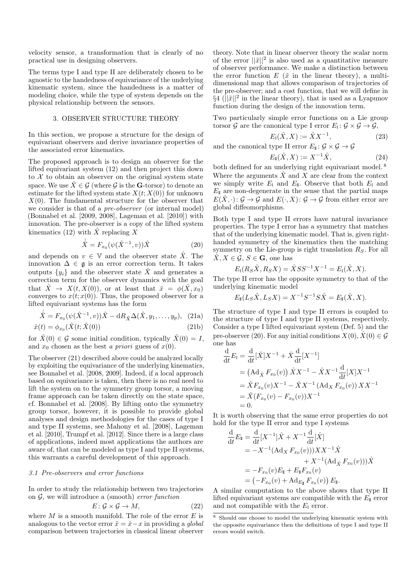velocity sensor, a transformation that is clearly of no practical use in designing observers.

The terms type I and type II are deliberately chosen to be agnostic to the handedness of equivariance of the underlying kinematic system, since the handedness is a matter of modeling choice, while the type of system depends on the physical relationship between the sensors.

## 3. OBSERVER STRUCTURE THEORY

In this section, we propose a structure for the design of equivariant observers and derive invariance properties of the associated error kinematics.

The proposed approach is to design an observer for the lifted equivariant system (12) and then project this down to  $\mathcal X$  to obtain an observer on the original system state space. We use  $\hat{X} \in \mathcal{G}$  (where  $\mathcal{G}$  is the **G**-torsor) to denote an estimate for the lifted system state  $X(t; X(0))$  for unknown  $X(0)$ . The fundamental structure for the observer that we consider is that of a pre-observer (or internal model) (Bonnabel et al. [2009, 2008], Lageman et al. [2010]) with innovation. The pre-observer is a copy of the lifted system kinematics (12) with  $\hat{X}$  replacing X

$$
\dot{\hat{X}} = F_{x_0}(\psi(\hat{X}^{-1}, v))\hat{X}
$$
 (20)

and depends on  $v \in V$  and the observer state  $\hat{X}$ . The innovation  $\Delta \in \mathfrak{g}$  is an error correction term. It takes outputs  $\{y_i\}$  and the observer state  $\hat{X}$  and generates a correction term for the observer dynamics with the goal that  $\hat{X} \rightarrow X(t, X(0))$ , or at least that  $\hat{x} = \phi(\hat{X}, x_0)$ converges to  $x(t; x(0))$ . Thus, the proposed observer for a lifted equivariant systems has the form

$$
\dot{\hat{X}} = F_{x_0}(\psi(\hat{X}^{-1}, v))\hat{X} - dR_{\hat{X}}\Delta(\hat{X}, y_1, \dots, y_p), (21a)
$$
  

$$
\hat{x}(t) = \phi_{x_0}(\hat{X}(t; \hat{X}(0))
$$
 (21b)

for  $\hat{X}(0) \in \mathcal{G}$  some initial condition, typically  $\hat{X}(0) = I$ , and  $x_0$  chosen as the best a priori guess of  $x(0)$ .

The observer (21) described above could be analyzed locally by exploiting the equivariance of the underlying kinematics, see Bonnabel et al. [2008, 2009]. Indeed, if a local approach based on equivariance is taken, then there is no real need to lift the system on to the symmetry group torsor, a moving frame approach can be taken directly on the state space, cf. Bonnabel et al. [2008]. By lifting onto the symmetry group torsor, however, it is possible to provide global analyses and design methodologies for the cases of type I and type II systems, see Mahony et al. [2008], Lageman et al. [2010], Trumpf et al. [2012]. Since there is a large class of applications, indeed most applications the authors are aware of, that can be modeled as type I and type II systems, this warrants a careful development of this approach.

#### 3.1 Pre-observers and error functions

In order to study the relationship between two trajectories on  $G$ , we will introduce a (smooth) error function

$$
E: \mathcal{G} \times \mathcal{G} \to M,\tag{22}
$$

where  $M$  is a smooth manifold. The role of the error  $E$  is analogous to the vector error  $\tilde{x} = \hat{x} - x$  in providing a global comparison between trajectories in classical linear observer

theory. Note that in linear observer theory the scalar norm of the error  $||\tilde{x}||^2$  is also used as a quantitative measure of observer performance. We make a distinction between the error function  $E(\tilde{x})$  in the linear theory), a multidimensional map that allows comparison of trajectories of the pre-observer; and a cost function, that we will define in  $\S4$  ( $||\tilde{x}||^2$  in the linear theory), that is used as a Lyapunov function during the design of the innovation term.

Two particularly simple error functions on a Lie group torsor  $\mathcal{G}$  are the canonical type I error  $E_i: \mathcal{G} \times \mathcal{G} \to \mathcal{G}$ ,

$$
E_1(\hat{X}, X) := \hat{X} X^{-1}, \tag{23}
$$

and the canonical type II error  $E_{\mathbb{I}}: \mathcal{G} \times \mathcal{G} \to \mathcal{G}$ 

$$
E_{\mathbb{I}}(\hat{X}, X) := X^{-1}\hat{X},
$$
\n(24)

both defined for an underlying right equivariant model. <sup>8</sup> Where the arguments  $\hat{X}$  and X are clear from the context we simply write  $E_I$  and  $E_{\rm I\!I}$ . Observe that both  $E_I$  and  $E_{\mathbb{I}}$  are non-degenerate in the sense that the partial maps  $E(\hat{X},\cdot): \mathcal{G} \to \mathcal{G}$  and  $E(\cdot,X): \mathcal{G} \to \mathcal{G}$  from either error are global diffeomorphisms.

Both type I and type II errors have natural invariance properties. The type I error has a symmetry that matches that of the underlying kinematic model. That is, given righthanded symmetry of the kinematics then the matching symmetry on the Lie-group is right translation  $R<sub>S</sub>$ . For all  $\hat{X}, X \in \mathcal{G}, S \in \mathbf{G}$ , one has

$$
E_{\rm I}(R_S\hat{X},R_SX)=\hat{X}SS^{-1}X^{-1}=E_{\rm I}(\hat{X},X).
$$

The type II error has the opposite symmetry to that of the underlying kinematic model

$$
E_{\mathbb{I}}(L_S \hat{X}, L_S X) = X^{-1} S^{-1} S \hat{X} = E_{\mathbb{I}}(\hat{X}, X).
$$

The structure of type I and type II errors is coupled to the structure of type I and type II systems, respectively. Consider a type I lifted equivariant system (Def. 5) and the pre-observer (20). For any initial conditions  $X(0), \hat{X}(0) \in \mathcal{G}$ one has

$$
\frac{d}{dt}E_1 = \frac{d}{dt}[\hat{X}]X^{-1} + \hat{X}\frac{d}{dt}[X^{-1}]
$$
\n
$$
= (Ad_{\hat{X}} F_{x_0}(v)) \hat{X}X^{-1} - \hat{X}X^{-1}\frac{d}{dt}[X]X^{-1}
$$
\n
$$
= \hat{X}F_{x_0}(v)X^{-1} - \hat{X}X^{-1}(Ad_X F_{x_0}(v)) XX^{-1}
$$
\n
$$
= \hat{X}(F_{x_0}(v) - F_{x_0}(v))X^{-1}
$$
\n
$$
= 0.
$$

It is worth observing that the same error properties do not hold for the type II error and type I systems

$$
\frac{d}{dt}E_{\mathbb{I}} = \frac{d}{dt}[X^{-1}]\hat{X} + X^{-1}\frac{d}{dt}[\hat{X}]
$$
\n
$$
= -X^{-1}(Ad_{X} F_{x_{0}}(v)))XX^{-1}\hat{X}
$$
\n
$$
+ X^{-1}(Ad_{\hat{X}} F_{x_{0}}(v)))\hat{X}
$$
\n
$$
= -F_{x_{0}}(v)E_{\mathbb{I}} + E_{\mathbb{I}}F_{x_{0}}(v)
$$
\n
$$
= (-F_{x_{0}}(v) + Ad_{E_{\mathbb{I}}} F_{x_{0}}(v)) E_{\mathbb{I}}.
$$

A similar computation to the above shows that type II lifted equivariant systems are compatible with the  $E_{\rm I\!I}$  error and not compatible with the  $E_{\rm I}$  error.

<sup>8</sup> Should one choose to model the underlying kinematic system with the opposite equivariance then the definitions of type I and type II errors would switch.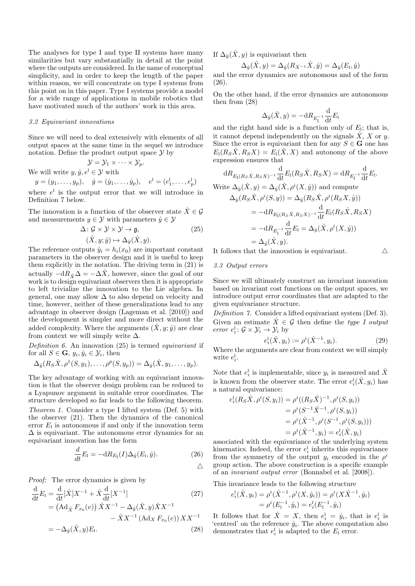The analyses for type I and type II systems have many similarities but vary substantially in detail at the point where the outputs are considered. In the name of conceptual simplicity, and in order to keep the length of the paper within reason, we will concentrate on type I systems from this point on in this paper. Type I systems provide a model for a wide range of applications in mobile robotics that have motivated much of the authors' work in this area.

#### 3.2 Equivariant innovations

Since we will need to deal extensively with elements of all output spaces at the same time in the sequel we introduce notation. Define the product output space  $\mathcal Y$  by

$$
\mathcal{Y} = \mathcal{Y}_1 \times \cdots \times \mathcal{Y}_p.
$$
  
We will write  $y, \mathring{y}, e^I \in \mathcal{Y}$  with  

$$
y = (y_1, \dots, y_p), \quad \mathring{y} = (\mathring{y}_1, \dots, \mathring{y}_p), \quad e^I = (e_1^I, \dots, e_p^I)
$$

where  $e^{\mathrm{I}}$  is the output error that we will introduce in Definition 7 below.

The innovation is a function of the observer state  $\hat{X}\in\mathcal{G}$ and measurements  $y \in \mathcal{Y}$  with parameters  $\hat{y} \in \mathcal{Y}$ 

$$
\Delta: \mathcal{G} \times \mathcal{Y} \times \mathcal{Y} \to \mathfrak{g},
$$
  

$$
(\hat{X}, y; \hat{y}) \mapsto \Delta_{\hat{y}}(\hat{X}, y).
$$
 (25)

$$
(\Lambda, y, y) \mapsto \Delta_{\hat{y}}(\Lambda, y).
$$
  
atputs  $\hat{y}_i = h_i(x_0)$  are impo

The reference outputs  $\mathring{y}_i = h_i(x_0)$  are important constant parameters in the observer design and it is useful to keep them explicitly in the notation. The driving term in (21) is actually  $-dR_{\hat{X}}\Delta = -\Delta \hat{X}$ , however, since the goal of our work is to design equivariant observers then it is appropriate to left trivialize the innovation to the Lie algebra. In general, one may allow  $\Delta$  to also depend on velocity and time, however, neither of these generalizations lead to any advantage in observer design (Lageman et al. [2010]) and the development is simpler and more direct without the added complexity. Where the arguments  $(\hat{X}, y; \hat{y})$  are clear from context we will simply write  $\Delta$ .

Definition  $6.$  An innovation  $(25)$  is termed *equivariant* if for all  $S \in \mathbf{G}$ ,  $y_i, \mathring{y}_i \in \mathcal{Y}_i$ , then

$$
\Delta_{\hat{y}}(R_S\hat{X},\rho^1(S,y_1),\ldots,\rho^p(S,y_p))=\Delta_{\hat{y}}(\hat{X},y_1,\ldots,y_p).
$$

The key advantage of working with an equivariant innovation is that the observer design problem can be reduced to a Lyapunov argument in suitable error coordinates. The structure developed so far leads to the following theorem. Theorem 1. Consider a type I lifted system (Def. 5) with the observer (21). Then the dynamics of the canonical error  $E_I$  is autonomous if and only if the innovation term  $\Delta$  is equivariant. The autonomous error dynamics for an equivariant innovation has the form

$$
\frac{d}{dt}E_{\rm I} = -\mathrm{d}R_{E_{\rm I}}(I)\Delta_{\hat{y}}(E_{\rm I},\hat{y}).\tag{26}
$$

Proof: The error dynamics is given by

$$
\frac{\mathrm{d}}{\mathrm{d}t}E_1 = \frac{\mathrm{d}}{\mathrm{d}t}[\hat{X}]X^{-1} + \hat{X}\frac{\mathrm{d}}{\mathrm{d}t}[X^{-1}]
$$
\n
$$
= (\mathrm{Ad}_{\hat{X}} F_{x_0}(v)) \hat{X}X^{-1} - \Delta_{\hat{y}}(\hat{X}, y)\hat{X}X^{-1}
$$
\n(27)

$$
= (\mathrm{Ad}_{\hat{X}} F_{x_0}(v)) XX^{-1} - \Delta_{\hat{y}}(X, y) XX^{-1} - \hat{X} X^{-1} (\mathrm{Ad}_X F_{x_0}(v)) XX^{-1} = -\Delta_{\hat{y}}(\hat{X}, y) E_1.
$$
 (28)

If  $\Delta_{\hat{y}}(\hat{X}, y)$  is equivariant then

$$
\Delta_{\mathring{y}}(\hat{X}, y) = \Delta_{\mathring{y}}(R_{X^{-1}}\hat{X}, \mathring{y}) = \Delta_{\mathring{y}}(E_{\rm I}, \mathring{y})
$$

and the error dynamics are autonomous and of the form (26).

On the other hand, if the error dynamics are autonomous then from (28)

$$
\Delta_{\hat{y}}(\hat{X}, y) = -\mathrm{d}R_{E_1^{-1}}\frac{\mathrm{d}}{\mathrm{d}t}E_1
$$

and the right hand side is a function only of  $E_i$ ; that is, it cannot depend independently on the signals  $\hat{X}$ , X or y. Since the error is equivariant then for any  $S \in \mathbf{G}$  one has  $E_1(R_S\hat{X}, R_SX) = E_1(\hat{X}, X)$  and autonomy of the above expression ensures that

$$
dR_{E_1(R_S\hat{X},R_SX)^{-1}} \frac{d}{dt} E_1(R_S\hat{X},R_SX) = dR_{E_1^{-1}} \frac{d}{dt} E_1.
$$
  
Write  $\Delta_{\hat{y}}(\hat{X}, y) = \Delta_{\hat{y}}(\hat{X}, \rho^i(X, \hat{y}))$  and compute  

$$
\Delta_{\hat{y}}(R_S\hat{X}, \rho^i(S, y)) = \Delta_{\hat{y}}(R_S\hat{X}, \rho^i(R_SX, \hat{y}))
$$

$$
= -dR_{E_1(R_S\hat{X},R_SX)^{-1}} \frac{d}{dt} E_1(R_S\hat{X},R_SX)
$$

$$
= -dR_{E_1^{-1}} \frac{d}{dt} E_1 = \Delta_{\hat{y}}(\hat{X}, \rho^i(X, \hat{y}))
$$

$$
= \Delta_{\hat{y}}(\hat{X}, y).
$$

It follows that the innovation is equivariant.  $\Delta$ 

### 3.3 Output errors

Since we will ultimately construct an invariant innovation based on invariant cost functions on the output spaces, we introduce output error coordinates that are adapted to the given equivariance structure.

Definition 7. Consider a lifted equivariant system (Def. 3). Given an estimate  $\hat{X} \in \mathcal{G}$  then define the type I output error  $e_i^{\mathrm{I}}: \mathcal{G} \times \mathcal{Y}_i \to \mathcal{Y}_i$  by

$$
e_i^{\mathrm{I}}(\hat{X}, y_i) := \rho^i(\hat{X}^{-1}, y_i). \tag{29}
$$

Where the arguments are clear from context we will simply write  $e_i^{\mathrm{I}}$ .

Note that  $e_i^{\text{I}}$  is implementable, since  $y_i$  is measured and  $\hat{X}$ is known from the observer state. The error  $e_i^{\text{I}}(\hat{X}, y_i)$  has a natural equivariance;

$$
e_i^{\mathrm{I}}(R_S \hat{X}, \rho^i(S, y_i)) = \rho^i((R_S \hat{X})^{-1}, \rho^i(S, y_i))
$$
  
=  $\rho^i(S^{-1} \hat{X}^{-1}, \rho^i(S, y_i))$   
=  $\rho^i(\hat{X}^{-1}, \rho^i(S^{-1}, \rho^i(S, y_i)))$   
=  $\rho^i(\hat{X}^{-1}, y_i) = e_i^{\mathrm{I}}(\hat{X}, y_i)$ 

associated with the equivariance of the underlying system kinematics. Indeed, the error  $e_i^{\text{I}}$  inherits this equivariance from the symmetry of the output  $y_i$  encoded in the  $\rho^i$ group action. The above construction is a specific example of an invariant output error (Bonnabel et al. [2008]).

This invariance leads to the following structure

$$
e_i^{\mathrm{I}}(\hat{X}, y_i) = \rho^i(\hat{X}^{-1}, \rho^i(X, \mathring{y}_i)) = \rho^i(X\hat{X}^{-1}, \mathring{y}_i)
$$
  
=  $\rho^i(E_1^{-1}, \mathring{y}_i) = e_i^{\mathrm{I}}(E_1^{-1}, \mathring{y}_i)$ 

It follows that for  $\hat{X} = X$ , then  $e_i^{\text{I}} = \hat{y}_i$ , that is  $e_i^{\text{I}}$  is 'centred' on the reference  $\mathring{y}_i$ . The above computation also demonstrates that  $e_i^{\text{I}}$  is adapted to the  $E_1$  error.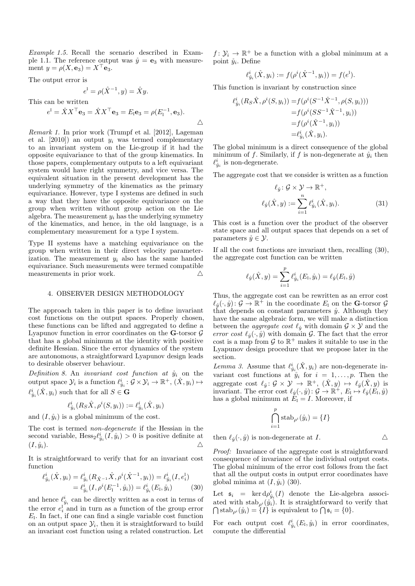Example 1.5. Recall the scenario described in Example 1.1. The reference output was  $\dot{y} = \mathbf{e}_3$  with measurement  $y = \rho(X, \mathbf{e}_3) = X^\top \mathbf{e}_3$ .

The output error is

$$
e^{I} = \rho(\hat{X}^{-1}, y) = \hat{X}y.
$$

This can be written

$$
e^{\mathbf{I}} = \hat{X} X^{\top} \mathbf{e}_3 = \hat{X} X^{\top} \mathbf{e}_3 = E_1 \mathbf{e}_3 = \rho (E_1^{-1}, \mathbf{e}_3).
$$

 $\triangle$ 

Remark 1. In prior work (Trumpf et al. [2012], Lageman et al.  $[2010]$  an output  $y_i$  was termed complementary to an invariant system on the Lie-group if it had the opposite equivariance to that of the group kinematics. In those papers, complementary outputs to a left equivariant system would have right symmetry, and vice versa. The equivalent situation in the present development has the underlying symmetry of the kinematics as the primary equivariance. However, type I systems are defined in such a way that they have the opposite equivariance on the group when written without group action on the Lie algebra. The measurement  $y_i$  has the underlying symmetry of the kinematics, and hence, in the old language, is a complementary measurement for a type I system.

Type II systems have a matching equivariance on the group when written in their direct velocity parameterization. The measurement  $y_i$  also has the same handed equivariance. Such measurements were termed compatible measurements in prior work.  $\triangle$ 

## 4. OBSERVER DESIGN METHODOLOGY

The approach taken in this paper is to define invariant cost functions on the output spaces. Properly chosen, these functions can be lifted and aggregated to define a Lyapunov function in error coordinates on the G-torsor  $\mathcal G$ that has a global minimum at the identity with positive definite Hessian. Since the error dynamics of the system are autonomous, a straightforward Lyapunov design leads to desirable observer behaviour.

Definition 8. An invariant cost function at  $\mathring{y}_i$  on the output space  $\mathcal{Y}_i$  is a function  $\ell^i_{\hat{y}_i} : \mathcal{G} \times \mathcal{Y}_i \to \mathbb{R}^+, (\hat{X}, y_i) \mapsto$  $\ell^i_{\mathring{y}_i}(\hat{X}, y_i)$  such that for all  $S \in \mathbf{G}$ 

$$
\ell^i_{\mathring{y}_i}(R_S\hat{X},\rho^i(S,y_i)):=\ell^i_{\mathring{y}_i}(\hat{X},y_i)
$$

and  $(I, \hat{y}_i)$  is a global minimum of the cost.

The cost is termed non-degenerate if the Hessian in the second variable,  $Hess_2 \ell_{\hat{y}_i}^i(I, \hat{y}_i) > 0$  is positive definite at  $(I, \mathring{y}_i).$ 

It is straightforward to verify that for an invariant cost function

$$
\ell_{\mathring{y}_i}^i(\hat{X}, y_i) = \ell_{\mathring{y}_i}^i(R_{\hat{X}^{-1}}\hat{X}, \rho^i(\hat{X}^{-1}, y_i)) = \ell_{\mathring{y}_i}^i(I, e_i^1) \n= \ell_{\mathring{y}_i}^i(I, \rho^i(E_1^{-1}, \mathring{y}_i)) = \ell_{\mathring{y}_i}^i(E_1, \mathring{y}_i)
$$
\n(30)

and hence  $\ell_{\hat{y}_i}^i$  can be directly written as a cost in terms of the error  $e_i^{\mathrm{I}}$  and in turn as a function of the group error  $E<sub>I</sub>$ . In fact, if one can find a single variable cost function on an output space  $\mathcal{Y}_i$ , then it is straightforward to build an invariant cost function using a related construction. Let  $f: \mathcal{Y}_i \to \mathbb{R}^+$  be a function with a global minimum at a point  $\mathring{y}_i$ . Define

$$
\ell_{\hat{y}_i}^i(\hat{X}, y_i) := f(\rho^i(\hat{X}^{-1}, y_i)) = f(e^{\mathrm{I}}).
$$

This function is invariant by construction since

$$
\ell_{\mathring{y}_i}^i(R_S \hat{X}, \rho^i(S, y_i)) = f(\rho^i(S^{-1} \hat{X}^{-1}, \rho(S, y_i)))
$$
  
=  $f(\rho^i(SS^{-1} \hat{X}^{-1}, y_i))$   
=  $f(\rho^i(\hat{X}^{-1}, y_i))$   
=  $\ell_{\mathring{y}_i}^i(\hat{X}, y_i).$ 

The global minimum is a direct consequence of the global minimum of f. Similarly, if f is non-degenerate at  $\hat{y}_i$  then  $\ell^i_{\mathring{y}_i}$  is non-degenerate.

The aggregate cost that we consider is written as a function

$$
\ell_{\hat{y}} \colon \mathcal{G} \times \mathcal{Y} \to \mathbb{R}^+,
$$

$$
\ell_{\hat{y}}(\hat{X}, y) := \sum_{i=1}^{n} \ell_{\hat{y}_i}^i(\hat{X}, y_i).
$$
(31)

This cost is a function over the product of the observer state space and all output spaces that depends on a set of parameters  $\mathring{y} \in \mathcal{Y}$ .

If all the cost functions are invariant then, recalling (30), the aggregate cost function can be written

$$
\ell_{\hat{y}}(\hat{X}, y) = \sum_{i=1}^{p} \ell_{\hat{y}_i}^{i}(E_{\text{I}}, \hat{y}_i) = \ell_{\hat{y}}(E_{\text{I}}, \hat{y})
$$

Thus, the aggregate cost can be rewritten as an error cost  $\ell_{\hat{y}}(\cdot,\hat{y})\colon \mathcal{G} \to \mathbb{R}^+$  in the coordinate  $E_I$  on the **G**-torsor  $\mathcal{G}$ that depends on constant parameters  $\hat{y}$ . Although they have the same algebraic form, we will make a distinction between the *aggregate cost*  $\ell_{\hat{y}}$  with domain  $\mathcal{G} \times \mathcal{Y}$  and the error cost  $\ell_{\hat{y}}(\cdot,\hat{y})$  with domain G. The fact that the error cost is a map from  $\mathcal G$  to  $\mathbb R^+$  makes it suitable to use in the Lyapunov design procedure that we propose later in the section.

*Lemma 3.* Assume that  $\ell_{\hat{y}_i}^i(\hat{X}, y_i)$  are non-degenerate invariant cost functions at  $\hat{y}_i$  for  $i = 1, \ldots, p$ . Then the aggregate cost  $\ell_{\hat{y}}: \mathcal{G} \times \mathcal{Y} \to \mathbb{R}^+, (\hat{X}, y) \mapsto \ell_{\hat{y}}(\hat{X}, y)$  is invariant. The error cost  $\ell_{\hat{y}}(\cdot, \hat{y})$ :  $\mathcal{G} \to \mathbb{R}^+, E_I \mapsto \ell_{\hat{y}}(E_I, \hat{y})$ has a global minimum at  $E_{I} = I$ . Moreover, if

$$
\bigcap_{i=1}^p \mathrm{stab}_{\rho^i}(\mathring{y}_i) = \{I\}
$$

then  $\ell_{\hat{y}}(\cdot,\hat{y})$  is non-degenerate at I.  $\Delta$ 

Proof: Invariance of the aggregate cost is straightforward consequence of invariance of the individual output costs. The global minimum of the error cost follows from the fact that all the output costs in output error coordinates have global minima at  $(I, \hat{y}_i)$  (30).

Let  $\mathfrak{s}_i = \ker \mathrm{d} \rho_{\hat{y}_i}^i(I)$  denote the Lie-algebra associated with  $\cap$  $\operatorname{stab}_{\rho^i}(\mathring{y}_i)$ . It is straightforward to verify that  $\mathrm{stab}_{\rho^i}(\mathring{y}_i) = \{I\}$  is equivalent to  $\bigcap \mathfrak{s}_i = \{0\}.$ 

For each output cost  $\ell^i_{\hat{y}_i}(E_{\rm I},\hat{y}_i)$  in error coordinates, compute the differential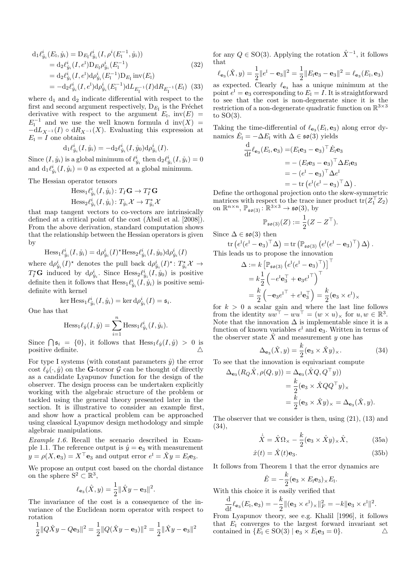$$
d_1 \ell_{\mathring{y}_i}^i(E_1, \mathring{y}_i) = D_{E_1} \ell_{\mathring{y}_i}^i(I, \rho^i(E_1^{-1}, \mathring{y}_i))
$$
  
\n
$$
= d_2 \ell_{\mathring{y}_i}^i(I, e^I) D_{E_1} \rho_{\mathring{y}_i}^i(E_1^{-1})
$$
  
\n
$$
= d_2 \ell_{\mathring{y}_i}^i(I, e^I) d \rho_{\mathring{y}_i}^i(E_1^{-1}) D_{E_1} \text{inv}(E_1)
$$
  
\n
$$
= -d_2 \ell_{\mathring{y}_i}^i(I, e^I) d \rho_{\mathring{y}_i}^i(E_1^{-1}) d L_{E_1^{-1}}(I) d R_{E_1^{-1}}(E_1)
$$
 (33)

where  $d_1$  and  $d_2$  indicate differential with respect to the first and second argument respectively,  $D_{E_1}$  is the Fréchet derivative with respect to the argument  $E_I$ , inv $(E)$  =  $E_1^{-1}$  and we use the well known formula d inv $(X)$  =  $-dL_{X^{-1}}(I) \circ dR_{X^{-1}}(X)$ . Evaluating this expression at  $E_{\rm I} = I$  one obtains

$$
\mathrm{d}_1 \ell^i_{\hat{y}_i}(I, \hat{y}_i) = -\mathrm{d}_2 \ell^i_{\hat{y}_i}(I, \hat{y}_0) \mathrm{d} \rho^i_{\hat{y}_i}(I).
$$

Since  $(I, \mathring{y}_i)$  is a global minimum of  $\ell^i_{\mathring{y}_i}$  then  $\mathrm{d}_2 \ell^i_{\mathring{y}_i}(I, \mathring{y}_i) = 0$ and  $d_1 \ell^i_{\hat{y}_i}(I, \hat{y}_i) = 0$  as expected at a global minimum.

The Hessian operator tensors

$$
\operatorname{Hess}_{1}\ell_{\hat{y}_{i}}^{i}(I, \hat{y}_{i})\colon T_{I}\mathbf{G} \to T_{I}^{*}\mathbf{G}
$$

$$
\operatorname{Hess}_{2}\ell_{\hat{y}_{i}}^{i}(I, \hat{y}_{i})\colon T_{\hat{y}_{i}}\mathcal{X} \to T_{\hat{y}_{i}}^{*}\mathcal{X}
$$

that map tangent vectors to co-vectors are intrinsically defined at a critical point of the cost (Absil et al. [2008]). From the above derivation, standard computation shows that the relationship between the Hessian operators is given by

$$
\text{Hess}_{1}\ell_{\mathring{y}_{i}}^{i}(I,\mathring{y}_{i})=\mathrm{d}\rho_{\mathring{y}_{i}}^{i}(I)^{\star}\text{Hess}_{2}\ell_{\mathring{y}_{i}}^{i}(I,\mathring{y}_{0})\mathrm{d}\rho_{\mathring{y}_{i}}^{i}(I)
$$

where  $d\rho_{\hat{y}_i}^i(I)$ <sup>\*</sup> denotes the pull back  $d\rho_{\hat{y}_i}^i(I)$ <sup>\*</sup>:  $T_{\hat{y}_i}^{\star}$   $X \to$  $T_I^{\star}$ **G** induced by  $d\rho_{\hat{y}_i}^i$ . Since  $Hess_2\ell_{\hat{y}_i}^i(I,\hat{y}_0)$  is positive definite then it follows that  $Hess_1 \ell_{\hat{y}_i}^i(I, \hat{y}_i)$  is positive semidefinite with kernel

$$
\ker \operatorname{Hess}_{1} \ell^{i}_{\hat{y}_{i}}(I, \hat{y}_{i}) = \ker d\rho^{i}_{\hat{y}_{i}}(I) = \mathfrak{s}_{i}.
$$

One has that

$$
\text{Hess}_{1}\ell_{\hat{y}}(I,\hat{y}) = \sum_{i=1}^{n} \text{Hess}_{1}\ell_{\hat{y}_{i}}^{i}(I,\hat{y}_{i}).
$$

Since  $\bigcap \mathfrak{s}_i = \{0\}$ , it follows that  $\text{Hess}_1\ell_{\hat{y}}(I,\hat{y}) > 0$  is positive definite. 4

For type I systems (with constant parameters  $\hat{y}$ ) the error cost  $\ell_{\hat{y}}(\cdot,\hat{y})$  on the **G**-torsor G can be thought of directly as a candidate Lyapunov function for the design of the observer. The design process can be undertaken explicitly working with the algebraic structure of the problem or tackled using the general theory presented later in the section. It is illustrative to consider an example first, and show how a practical problem can be approached using classical Lyapunov design methodology and simple algebraic manipulations.

Example 1.6. Recall the scenario described in Example 1.1. The reference output is  $\mathring{y} = \mathbf{e}_3$  with measurement  $y = \rho(X, \mathbf{e}_3) = X^\top \mathbf{e}_3$  and output error  $e^I = \hat{X}y = E_I \mathbf{e}_3$ .

We propose an output cost based on the chordal distance on the sphere  $S^2 \subset \mathbb{R}^3$ ,

$$
\ell_{\mathbf{e}_3}(\hat{X}, y) = \frac{1}{2} ||\hat{X}y - \mathbf{e}_3||^2.
$$

The invariance of the cost is a consequence of the invariance of the Euclidean norm operator with respect to rotation

$$
\frac{1}{2}||Q\hat{X}y - Q\mathbf{e}_3||^2 = \frac{1}{2}||Q(\hat{X}y - \mathbf{e}_3)||^2 = \frac{1}{2}||\hat{X}y - \mathbf{e}_3||^2
$$

for any  $Q \in SO(3)$ . Applying the rotation  $\hat{X}^{-1}$ , it follows that

$$
\ell_{\mathbf{e}_3}(\hat{X}, y) = \frac{1}{2} ||e^{\mathbf{I}} - \mathbf{e}_3||^2 = \frac{1}{2} ||E_1 \mathbf{e}_3 - \mathbf{e}_3||^2 = \ell_{\mathbf{e}_3}(E_1, \mathbf{e}_3)
$$

as expected. Clearly  $\ell_{\mathbf{e}_3}$  has a unique minimum at the point  $e^I = e_3$  corresponding to  $E_I = I$ . It is straightforward to see that the cost is non-degenerate since it is the restriction of a non-degenerate quadratic function on  $\mathbb{R}^{3\times3}$ to  $SO(3)$ .

Taking the time-differential of  $\ell_{\mathbf{e}_3}(E_1, \mathbf{e}_3)$  along error dynamics  $\dot{E}_{I} = -\Delta E_{I}$  with  $\Delta \in \mathfrak{so}(3)$  yields

$$
\frac{\mathrm{d}}{\mathrm{d}t} \ell_{\mathbf{e}_3}(E_1, \mathbf{e}_3) = (E_1 \mathbf{e}_3 - \mathbf{e}_3)^\top \dot{E}_1 \mathbf{e}_3 \n= -(E_1 \mathbf{e}_3 - \mathbf{e}_3)^\top \Delta E_1 \mathbf{e}_3 \n= -(e^I - \mathbf{e}_3)^\top \Delta e^I \n= - \text{tr} (e^I (e^I - \mathbf{e}_3)^\top \Delta).
$$

Define the orthogonal projection onto the skew-symmetric matrices with respect to the trace inner product  $tr(Z_1^\top Z_2)$ on  $\mathbb{R}^{n \times n}$ ,  $\mathbb{P}_{\mathfrak{so}(3)}$ :  $\mathbb{R}^{3 \times 3} \to \mathfrak{so}(3)$ , by

$$
\mathbb{P}_{\mathfrak{so}(3)}(Z) := \frac{1}{2}(Z - Z^{\top}).
$$

Since  $\Delta \in \mathfrak{so}(3)$  then

 $\mathrm{tr}\left( e^{\mathrm{I}}(e^{\mathrm{I}}-\mathbf{e}_3)^{\top} \Delta \right) = \mathrm{tr} \left( \mathbb{P}_{\mathfrak{so}(3)}\left( e^{\mathrm{I}}(e^{\mathrm{I}}-\mathbf{e}_3)^{\top} \right) \Delta \right).$ This leads us to propose the innovation

$$
\Delta := k \left[ \mathbb{P}_{\mathfrak{so}(3)} \left( e^{\mathrm{I}} (e^{\mathrm{I}} - \mathbf{e}_3)^{\top} \right) \right]^{\top}
$$

$$
= k \frac{1}{2} \left( -e^{\mathrm{I}} \mathbf{e}_3^{\top} + \mathbf{e}_3 e^{\mathrm{I}^{\top}} \right)^{\top}
$$

$$
= \frac{k}{2} \left( -\mathbf{e}_3 e^{\mathrm{I}^{\top}} + e^{\mathrm{I}} \mathbf{e}_3^{\top} \right) = \frac{k}{2} (\mathbf{e}_3 \times e^{\mathrm{I}}) \times
$$

for  $k > 0$  a scalar gain and where the last line follows from the identity  $u w^{\top} - w u^{\top} = (w \times u)_{\times}$  for  $u, w \in \mathbb{R}^3$ . Note that the innovation  $\Delta$  is implementable since it is a function of known variables  $e^I$  and  $e_3$ . Written in terms of the observer state  $\hat{X}$  and measurement y one has

$$
\Delta_{\mathbf{e}_3}(\hat{X}, y) = \frac{k}{2} (\mathbf{e}_3 \times \hat{X} y)_{\times}.
$$
 (34)

To see that the innovation is equivariant compute

$$
\Delta_{\mathbf{e}_3}(R_Q\hat{X}, \rho(Q, y)) = \Delta_{\mathbf{e}_3}(\hat{X}Q, Q^\top y))
$$
  
= 
$$
\frac{k}{2}(\mathbf{e}_3 \times \hat{X}QQ^\top y)_{\times}
$$
  
= 
$$
\frac{k}{2}(\mathbf{e}_3 \times \hat{X}y)_{\times} = \Delta_{\mathbf{e}_3}(\hat{X}, y).
$$

The observer that we consider is then, using (21), (13) and (34),

$$
\dot{\hat{X}} = \hat{X}\Omega_{\times} - \frac{k}{2} (\mathbf{e}_3 \times \hat{X}y)_{\times} \hat{X},
$$
 (35a)

$$
\hat{x}(t) = \hat{X}(t)\mathbf{e}_3.
$$
\n(35b)

It follows from Theorem 1 that the error dynamics are

$$
\dot{E}=-\frac{k}{2}(\mathbf{e}_3\times E_1\mathbf{e}_3)_\times E_1.
$$

With this choice it is easily verified that

$$
\frac{\mathrm{d}}{\mathrm{d}t}\ell_{\mathbf{e}_3}(E_1,\mathbf{e}_3)=-\frac{k}{2}\|(\mathbf{e}_3\times e^I)\times\|^2_F=-k\|\mathbf{e}_3\times e^I\|^2.
$$

From Lyapunov theory, see e.g. Khalil [1996], it follows that  $E<sub>I</sub>$  converges to the largest forward invariant set contained in  $\{E_I \in SO(3) \mid \mathbf{e}_3 \times E_I \mathbf{e}_3 = 0\}.$   $\triangle$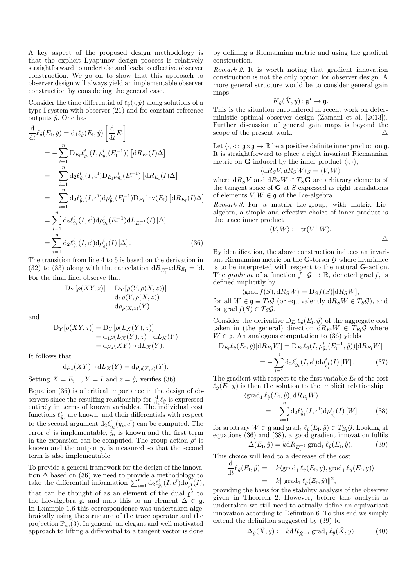A key aspect of the proposed design methodology is that the explicit Lyapunov design process is relatively straightforward to undertake and leads to effective observer construction. We go on to show that this approach to observer design will always yield an implementable observer construction by considering the general case.

Consider the time differential of  $\ell_{\hat{y}}(\cdot,\hat{y})$  along solutions of a type I system with observer (21) and for constant reference outputs  $\hat{y}$ . One has

$$
\frac{d}{dt}\ell_{\hat{y}}(E_{I}, \mathring{y}) = d_{1}\ell_{\hat{y}}(E_{I}, \mathring{y}) \left[ \frac{d}{dt} E_{I} \right]
$$
\n
$$
= -\sum_{i=1}^{n} D_{E_{I}} \ell_{\hat{y}_{i}}^{i} (I, \rho_{\hat{y}_{i}}^{i} (E_{I}^{-1})) \left[ dR_{E_{I}}(I)\Delta \right]
$$
\n
$$
= -\sum_{i=1}^{n} d_{2} \ell_{\hat{y}_{i}}^{i} (I, e^{I}) D_{E_{I}} \rho_{\hat{y}_{i}}^{i} (E_{I}^{-1}) \left[ dR_{E_{I}}(I)\Delta \right]
$$
\n
$$
= -\sum_{i=1}^{n} d_{2} \ell_{\hat{y}_{i}}^{i} (I, e^{I}) d\rho_{\hat{y}_{i}}^{i} (E_{I}^{-1}) D_{E_{I}} \text{inv}(E_{I}) \left[ dR_{E_{I}}(I)\Delta \right]
$$
\n
$$
= \sum_{i=1}^{n} d_{2} \ell_{\hat{y}_{i}}^{i} (I, e^{I}) d\rho_{\hat{y}_{i}}^{i} (E_{I}^{-1}) dL_{E_{I}^{-1}}(I) [\Delta]
$$
\n
$$
= \sum_{i=1}^{n} d_{2} \ell_{\hat{y}_{i}}^{i} (I, e^{I}) d\rho_{e_{i}}^{i} (I) [\Delta]. \qquad (36)
$$

The transition from line 4 to 5 is based on the derivation in (32) to (33) along with the cancelation  $dR_{E_1^{-1}} dR_{E_1} = id$ . For the final line, observe that

$$
D_Y[\rho(XY, z)] = D_Y[\rho(Y, \rho(X, z))]
$$
  
= d<sub>1</sub>ρ(Y, ρ(X, z))  
= d<sub>ρ<sub>ρ</sub>(X, z)</sub>(Y)

and

$$
D_Y[\rho(XY, z)] = D_Y[\rho(L_X(Y), z)]
$$
  
= d<sub>1</sub> $\rho(L_X(Y), z)$  o d<sub>L<sub>X</sub></sub>(Y)  
= d<sub>\rho<sub>z</sub></sub>(XY) o d<sub>L<sub>X</sub></sub>(Y).

It follows that

$$
\mathrm{d}\rho_z(XY)\circ\mathrm{d}L_X(Y)=\mathrm{d}\rho_{\rho(X,z)}(Y).
$$

Setting  $X = E_1^{-1}$ ,  $Y = I$  and  $z = \hat{y}_i$  verifies (36).

Equation (36) is of critical importance in the design of observers since the resulting relationship for  $\frac{d}{dt} \ell_{\hat{y}}$  is expressed entirely in terms of known variables. The individual cost functions  $\ell_{\hat{y}_i}^i$  are known, and their differentials with respect to the second argument  $\mathrm{d}_2\ell^i_{\mathring{y}_i}(\mathring{y}_i,e^{\mathrm{I}})$  can be computed. The error  $e^{\mathrm{I}}$  is implementable,  $\mathring{y}_i$  is known and the first term in the expansion can be computed. The group action  $\rho^i$  is known and the output  $y_i$  is measured so that the second term is also implementable.

To provide a general framework for the design of the innovation  $\Delta$  based on (36) we need to provide a methodology to take the differential information  $\sum_{i=1}^n \mathrm{d}_2 \ell_{\hat{y}_i}^i(I, e^I) \mathrm{d}_{\rho} \hat{\rho}_{\epsilon}^{\dagger}$  $\overset{i}{e^{\text{I}}_i}(I),$ that can be thought of as an element of the dual  $\mathfrak{g}^*$  to the Lie-algebra g, and map this to an element  $\Delta \in \mathfrak{g}$ . In Example 1.6 this correspondence was undertaken algebraically using the structure of the trace operator and the projection  $\mathbb{P}_{\mathfrak{so}}(3)$ . In general, an elegant and well motivated approach to lifting a differential to a tangent vector is done

by defining a Riemannian metric and using the gradient construction.

Remark 2. It is worth noting that gradient innovation construction is not the only option for observer design. A more general structure would be to consider general gain maps

$$
K_{\mathring{y}}(\hat{X},y) \colon \mathfrak{g}^{\star} \to \mathfrak{g}.
$$

This is the situation encountered in recent work on deterministic optimal observer design (Zamani et al. [2013]). Further discussion of general gain maps is beyond the scope of the present work.

Let  $\langle \cdot, \cdot \rangle : \mathfrak{g} \times \mathfrak{g} \to \mathbb{R}$  be a positive definite inner product on g. It is straightforward to place a right invariant Riemannian metric on **G** induced by the inner product  $\langle \cdot, \cdot \rangle$ ,

$$
\langle \mathrm{d}R_S V, \mathrm{d}R_S W \rangle_S = \langle V, W \rangle
$$

where  $dR_SV$  and  $dR_SW \in T_S\mathbf{G}$  are arbitrary elements of the tangent space of  $\tilde{G}$  at  $S$  expressed as right translations of elements  $V, W \in \mathfrak{g}$  of the Lie-algebra.

Remark 3. For a matrix Lie-group, with matrix Liealgebra, a simple and effective choice of inner product is the trace inner product

$$
\langle V, W \rangle := \text{tr}(V^\top W). \qquad \qquad \triangle
$$

By identification, the above construction induces an invariant Riemannian metric on the **G**-torsor  $\mathcal G$  where invariance is to be interpreted with respect to the natural G-action. The *gradient* of a function  $f: \mathcal{G} \to \mathbb{R}$ , denoted grad f, is defined implicitly by

$$
\langle \operatorname{grad} f(S), \mathrm{d} R_S W \rangle = \mathrm{D}_S f(S) [\mathrm{d} R_S W],
$$

for all  $W \in \mathfrak{g} \equiv T_I \mathcal{G}$  (or equivalently  $dR_S W \in T_S \mathcal{G}$ ), and for grad  $f(S) \in T_S \mathcal{G}$ .

Consider the derivative  $D_{E_1} \ell_{\hat{y}}(E_1, \hat{y})$  of the aggregate cost taken in (the general) direction  $dR_{E_i}W \in T_{E_i}\mathcal{G}$  where  $W \in \mathfrak{g}$ . An analogous computation to (36) yields

$$
D_{E_{I}}\ell_{\hat{y}}(E_{I}, \hat{y})[dR_{E_{I}}W] = D_{E_{I}}\ell_{\hat{y}}(I, \rho_{\hat{y}_{i}}^{i}(E_{I}^{-1}, \hat{y}))[dR_{E_{I}}W]
$$

$$
= -\sum_{i=1}^{n} d_{2}\ell_{\hat{y}_{i}}^{i}(I, e^{I})d\rho_{e_{i}}^{i}(I)[W]. \qquad (37)
$$

The gradient with respect to the first variable  $E_I$  of the cost  $\ell_{\hat{y}}(E_{\text{I}},\hat{y})$  is then the solution to the implicit relationship

 $\langle \text{grad}_1 \ell_{\hat{y}}(E_{\text{I}}, \hat{y}), \text{d} R_{E_{\text{I}}} W \rangle$ 

$$
= -\sum_{i=1}^{n} d_2 \ell_{\hat{y}_i}^i(I, e^I) d\rho_{e_i}^i(I) [W] \tag{38}
$$

for arbitrary  $W \in \mathfrak{g}$  and  $\text{grad}_1 \ell_{\hat{y}}(E_1, \hat{y}) \in T_{E_1} \mathcal{G}$ . Looking at equations (36) and (38), a good gradient innovation fulfils  $\Delta(E_{\text{I}}, \mathring{y}) = k \text{d} R_{E_{\text{I}}^{-1}} \operatorname{grad}_{1} \ell_{\mathring{y}}(E_{\text{I}})$  $(39)$ 

I This choice will lead to a decrease of the cost

$$
\frac{\mathrm{d}}{\mathrm{d}t}\ell_{\mathring{y}}(E_{\mathrm{I}},\mathring{y})=-k\langle\mathrm{grad}_{1}\ell_{\mathring{y}}(E_{\mathrm{I}},\mathring{y}),\mathrm{grad}_{1}\ell_{\mathring{y}}(E_{\mathrm{I}},\mathring{y})\rangle\\ =-k\|\mathrm{grad}_{1}\ell_{\mathring{y}}(E_{\mathrm{I}},\mathring{y})\|^{2},
$$

providing the basis for the stability analysis of the observer given in Theorem 2. However, before this analysis is undertaken we still need to actually define an equivariant innovation according to Definition 6. To this end we simply extend the definition suggested by (39) to

$$
\Delta_{\hat{y}}(\hat{X}, y) := k \mathrm{d}R_{\hat{X}^{-1}} \operatorname{grad}_{1} \ell_{\hat{y}}(\hat{X}, y) \tag{40}
$$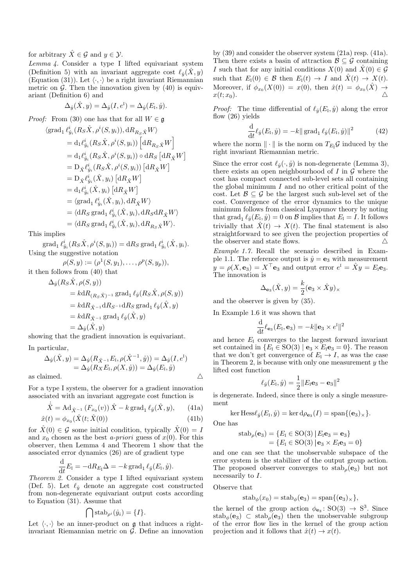for arbitrary  $\hat{X} \in \mathcal{G}$  and  $y \in \mathcal{Y}$ .

Lemma 4. Consider a type I lifted equivariant system (Definition 5) with an invariant aggregate cost  $\ell_i(\tilde{X}, y)$ (Equation (31)). Let  $\langle \cdot, \cdot \rangle$  be a right invariant Riemannian metric on  $\mathcal G$ . Then the innovation given by (40) is equivariant (Definition 6) and

$$
\Delta_{\mathring{y}}(\hat{X}, y) = \Delta_{\mathring{y}}(I, e^{\mathcal{I}}) = \Delta_{\mathring{y}}(E_{\mathcal{I}}, \mathring{y}).
$$

*Proof:* From (30) one has that for all  $W \in \mathfrak{g}$ 

$$
\begin{aligned} &\langle \mathrm{grad}_{1}\,\ell_{\mathring{y}_{i}}^{i}(R_{S}\hat{X},\rho^{i}(S,y_{i})), \mathrm{d}R_{R_{S}\hat{X}}W\rangle \\ &=\mathrm{d}_{1}\ell_{\mathring{y}_{i}}^{i}(R_{S}\hat{X},\rho^{i}(S,y_{i}))\left[\mathrm{d}R_{R_{S}\hat{X}}W\right] \\ &=\mathrm{d}_{1}\ell_{\mathring{y}_{i}}^{i}(R_{S}\hat{X},\rho^{i}(S,y_{i}))\circ \mathrm{d}R_{S}\left[\mathrm{d}R_{\hat{X}}W\right] \\ &=\mathrm{D}_{\hat{X}}\ell_{\mathring{y}_{i}}^{i}(R_{S}\hat{X},\rho^{i}(S,y_{i}))\left[\mathrm{d}R_{\hat{X}}W\right] \\ &=\mathrm{D}_{\hat{X}}\ell_{\mathring{y}_{i}}^{i}(\hat{X},y_{i})\left[\mathrm{d}R_{\hat{X}}W\right] \\ &=\mathrm{d}_{1}\ell_{\mathring{y}_{i}}^{i}(\hat{X},y_{i})\left[\mathrm{d}R_{\hat{X}}W\right] \\ &=\langle \mathrm{grad}_{1}\,\ell_{\mathring{y}_{i}}^{i}(\hat{X},y_{i}), \mathrm{d}R_{\hat{X}}W\rangle \\ &=\langle \mathrm{d}R_{S}\,\mathrm{grad}_{1}\,\ell_{\mathring{y}_{i}}^{i}(\hat{X},y_{i}), \mathrm{d}R_{S}\mathrm{d}R_{\hat{X}}W\rangle \\ &=\langle \mathrm{d}R_{S}\,\mathrm{grad}_{1}\,\ell_{\mathring{y}_{i}}^{i}(\hat{X},y_{i}), \mathrm{d}R_{R_{S}\hat{X}}W\rangle. \end{aligned}
$$

This implies

 $\operatorname{grad}_1 \ell_{\hat{y}_i}^i(R_S \hat{X}, \rho^i(S, y_i)) = \mathrm{d} R_S \operatorname{grad}_1 \ell_{\hat{y}_i}^i(\hat{X}, y_i).$ Using the suggestive notation

$$
\rho(S, y) := (\rho^1(S, y_1), \dots, \rho^p(S, y_p)),
$$

it then follows from (40) that

$$
\Delta_{\hat{y}}(R_S \hat{X}, \rho(S, y))
$$
  
=  $k dR_{(R_S \hat{X})^{-1}}$  grad<sub>1</sub>  $\ell_{\hat{y}}(R_S \hat{X}, \rho(S, y))$   
=  $k dR_{\hat{X}^{-1}} dR_{S^{-1}} dR_{S}$  grad<sub>1</sub>  $\ell_{\hat{y}}(\hat{X}, y)$   
=  $k dR_{\hat{X}^{-1}}$  grad<sub>1</sub>  $\ell_{\hat{y}}(\hat{X}, y)$   
=  $\Delta_{\hat{y}}(\hat{X}, y)$ 

showing that the gradient innovation is equivariant. In particular,

$$
\Delta_{\hat{y}}(\hat{X}, y) = \Delta_{\hat{y}}(R_{\hat{X}^{-1}} E_{\mathcal{I}}, \rho(\hat{X}^{-1}, \hat{y})) = \Delta_{\hat{y}}(I, e^{\mathcal{I}})
$$
  
=  $\Delta_{\hat{y}}(R_X E_{\mathcal{I}}, \rho(X, \hat{y})) = \Delta_{\hat{y}}(E_{\mathcal{I}}, \hat{y})$   
as claimed.

For a type I system, the observer for a gradient innovation associated with an invariant aggregate cost function is

$$
\dot{\hat{X}} = \text{Ad}_{\hat{X}^{-1}}(F_{x_0}(v))\hat{X} - k \text{ grad}_1 \ell_{\hat{y}}(\hat{X}, y), \quad (41a)
$$
  

$$
\hat{x}(t) = \phi_{x_0}(\hat{X}(t; \hat{X}(0)) \quad (41b)
$$

for  $\hat{X}(0) \in \mathcal{G}$  some initial condition, typically  $\hat{X}(0) = I$ and  $x_0$  chosen as the best *a-priori* guess of  $x(0)$ . For this observer, then Lemma 4 and Theorem 1 show that the associated error dynamics (26) are of gradient type

$$
\frac{\mathrm{d}}{\mathrm{d}t}E_{\mathrm{I}} = -\mathrm{d}R_{E_{\mathrm{I}}}\Delta = -k\,\mathrm{grad}_{1}\,\ell_{\hat{y}}(E_{\mathrm{I}},\hat{y}).
$$

Theorem 2. Consider a type I lifted equivariant system (Def. 5). Let  $\ell_{\hat{y}}$  denote an aggregate cost constructed from non-degenerate equivariant output costs according to Equation (31). Assume that

$$
\bigcap \mathrm{stab}_{\rho^i}(\mathring{y}_i) = \{I\}.
$$

Let  $\langle \cdot, \cdot \rangle$  be an inner-product on g that induces a rightinvariant Riemannian metric on G. Define an innovation by (39) and consider the observer system (21a) resp. (41a). Then there exists a basin of attraction  $\mathcal{B} \subseteq \mathcal{G}$  containing I such that for any initial conditions  $X(0)$  and  $\hat{X}(0) \in \mathcal{G}$ such that  $E_{\text{I}}(0) \in \mathcal{B}$  then  $E_{\text{I}}(t) \to I$  and  $X(t) \to X(t)$ . Moreover, if  $\phi_{x_0}(X(0)) = x(0)$ , then  $\hat{x}(t) = \phi_{x_0}(\hat{X}) \rightarrow$  $x(t; x_0)$ .

*Proof:* The time differential of  $\ell_{\hat{y}}(E_{\text{I}}, \hat{y})$  along the error flow (26) yields

$$
\frac{d}{dt}\ell_{\hat{y}}(E_{I}, \hat{y}) = -k||\text{grad}_{1} \ell_{\hat{y}}(E_{I}, \hat{y})||^{2}
$$
 (42)

where the norm  $\|\cdot\|$  is the norm on  $T_{E_1}\mathcal{G}$  induced by the right invariant Riemannian metric.

Since the error cost  $\ell_{\hat{y}}(\cdot,\hat{y})$  is non-degenerate (Lemma 3), there exists an open neighbourhood of  $I$  in  $G$  where the cost has compact connected sub-level sets all containing the global minimum  $I$  and no other critical point of the cost. Let  $\mathcal{B} \subseteq \mathcal{G}$  be the largest such sub-level set of the cost. Convergence of the error dynamics to the unique minimum follows from classical Lyapunov theory by noting that grad<sub>1</sub>  $\ell_{\hat{y}}(E_{\text{I}}, \hat{y}) = 0$  on  $\mathcal{B}$  implies that  $E_{\text{I}} = I$ . It follows trivially that  $\hat{X}(t) \to X(t)$ . The final statement is also straightforward to see given the projection properties of the observer and state flows.  $\triangle$ 

Example 1.7. Recall the scenario described in Example 1.1. The reference output is  $\mathring{y} = \mathbf{e}_3$  with measurement  $y = \rho(X, \mathbf{e}_3) = X^\top \mathbf{e}_3$  and output error  $e^{\mathrm{I}} = \hat{X}y = E_1 \mathbf{e}_3$ . The innovation is

$$
\Delta_{\mathbf{e}_3}(\hat{X}, y) = \frac{k}{2} (\mathbf{e}_3 \times \hat{X} y) \times
$$

and the observer is given by (35).

In Example 1.6 it was shown that

$$
\frac{\mathrm{d}}{\mathrm{d}t}\ell_{\mathbf{e}_3}(E_1,\mathbf{e}_3) = -k \|\mathbf{e}_3 \times e^I\|^2
$$

and hence  $E<sub>I</sub>$  converges to the largest forward invariant set contained in  $\{E_I \in SO(3) \mid \mathbf{e}_3 \times E_I \mathbf{e}_3 = 0\}$ . The reason that we don't get convergence of  $E_I \to I$ , as was the case in Theorem 2, is because with only one measurement  $y$  the lifted cost function

$$
\ell_{\hat{y}}(E_{\rm I},\hat{y})=\frac{1}{2}\|E_{\rm I}e_3-e_3\|^2
$$

is degenerate. Indeed, since there is only a single measurement

$$
\ker \operatorname{Hess}\ell_{\hat{y}}(E_{\mathrm{I}},\hat{y}) = \ker \mathrm{d}\rho_{\mathbf{e}_3}(I) = \operatorname{span}\{(\mathbf{e}_3)_\times\}.
$$

One has

$$
\text{stab}_{\rho}(\mathbf{e}_3) = \{ E_1 \in \text{SO}(3) \mid E_1 \mathbf{e}_3 = \mathbf{e}_3 \} \\
= \{ E_1 \in \text{SO}(3) \mid \mathbf{e}_3 \times E_1 \mathbf{e}_3 = 0 \}
$$

and one can see that the unobservable subspace of the error system is the stabilizer of the output group action. The proposed observer converges to  $stab_{\rho}(e_3)$  but not necessarily to I.

Observe that

$$
\mathrm{stab}_{\phi}(x_0) = \mathrm{stab}_{\phi}(\mathbf{e}_3) = \mathrm{span}\{(\mathbf{e}_3)_\times\},\
$$

the kernel of the group action  $\phi_{\mathbf{e}_3} : SO(3) \to S^3$ . Since stab<sub> $\phi$ </sub>(e<sub>3</sub>) ⊂ stab<sub> $\rho$ </sub>(e<sub>3</sub>) then the unobservable subgroup of the error flow lies in the kernel of the group action projection and it follows that  $\hat{x}(t) \rightarrow x(t)$ .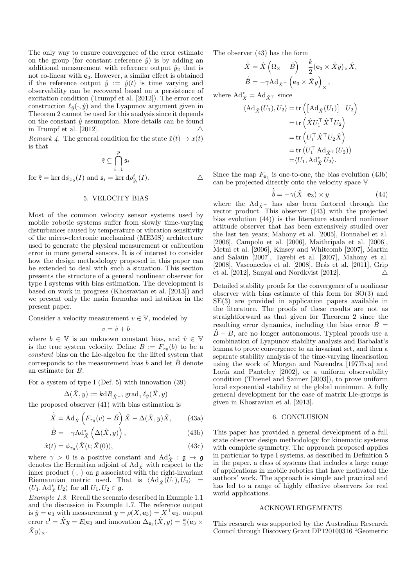The only way to ensure convergence of the error estimate on the group (for constant reference  $\hat{y}$ ) is by adding an additional measurement with reference output  $\hat{y}_2$  that is not co-linear with  $e_3$ . However, a similar effect is obtained if the reference output  $\dot{y} := \dot{y}(t)$  is time varying and observability can be recovered based on a persistence of excitation condition (Trumpf et al. [2012]). The error cost construction  $\ell_{\hat{y}}(\cdot,\hat{y})$  and the Lyapunov argument given in Theorem 2 cannot be used for this analysis since it depends on the constant  $\mathring{y}$  assumption. More details can be found in Trumpf et al. [2012].  $\triangle$ 

Remark 4. The general condition for the state  $\hat{x}(t) \rightarrow x(t)$ is that

$$
\mathfrak{k}\subseteq \bigcap_{i=1}^p \mathfrak{s}_i
$$

for  $\mathfrak{k} = \ker d\phi_{x_0}(I)$  and  $\mathfrak{s}_i = \ker d\rho_{\hat{y}_i}^i(I)$ .  $\triangle$ 

# 5. VELOCITY BIAS

Most of the common velocity sensor systems used by mobile robotic systems suffer from slowly time-varying disturbances caused by temperature or vibration sensitivity of the micro-electronic mechanical (MEMS) architecture used to generate the physical measurement or calibration error in more general sensors. It is of interest to consider how the design methodology proposed in this paper can be extended to deal with such a situation. This section presents the structure of a general nonlinear observer for type I systems with bias estimation. The development is based on work in progress (Khosravian et al. [2013]) and we present only the main formulas and intuition in the present paper.

Consider a velocity measurement  $v \in V$ , modeled by

$$
v = \mathring{v} + b
$$

where  $b \in \mathbb{V}$  is an unknown constant bias, and  $\mathring{v} \in \mathbb{V}$ is the true system velocity. Define  $B := F_{x_0}(b)$  to be a constant bias on the Lie-algebra for the lifted system that corresponds to the measurement bias b and let  $\hat{B}$  denote an estimate for B.

For a system of type I (Def. 5) with innovation (39)

$$
\Delta(\hat{X},y):=k\mathrm{d}R_{\hat{X}^{-1}}\mathop{\mathrm{grad}}\nolimits_{1}\ell_{\hat{y}}(\hat{X},y)
$$

the proposed observer (41) with bias estimation is

$$
\dot{\hat{X}} = \mathrm{Ad}_{\hat{X}} \left( F_{x_0}(v) - \hat{B} \right) \hat{X} - \Delta(\hat{X}, y) \hat{X}, \quad (43a)
$$

$$
\dot{\hat{B}} = -\gamma \text{Ad}_{\hat{X}}^{\star} \left( \Delta(\hat{X}, y) \right), \tag{43b}
$$

$$
\hat{x}(t) = \phi_{x_0}(\hat{X}(t; \hat{X}(0))), \tag{43c}
$$

where  $\gamma > 0$  is a positive constant and  $\operatorname{Ad}^\star_{\hat{X}}$  :  $\mathfrak{g} \to \mathfrak{g}$ denotes the Hermitian adjoint of  $\operatorname{Ad}_{\hat{X}}$  with respect to the inner product  $\langle \cdot, \cdot \rangle$  on g associated with the right-invariant Riemannian metric used. That is  $\langle \text{Ad}_{\hat{X}}(U_1), U_2 \rangle$  =  $\langle U_1, \operatorname{Ad}^*_{\hat{X}} U_2 \rangle$  for all  $U_1, U_2 \in \mathfrak{g}$ .

Example 1.8. Recall the scenario described in Example 1.1 and the discussion in Example 1.7. The reference output is  $\mathring{y} = \mathbf{e}_3$  with measurement  $y = \rho(X, \mathbf{e}_3) = X^\perp \mathbf{e}_3$ , output error  $e^{\text{I}} = \hat{X}y = E_1 \mathbf{e}_3$  and innovation  $\Delta_{\mathbf{e}_3}(\hat{X}, y) = \frac{k}{2}(\mathbf{e}_3 \times \mathbf{e}_1)$  $\hat{X}y)_{\times}$ .

The observer (43) has the form

$$
\dot{\hat{X}} = \hat{X} \left( \Omega_{\times} - \hat{B} \right) - \frac{k}{2} (\mathbf{e}_3 \times \hat{X} y)_{\times} \hat{X},
$$

$$
\dot{\hat{B}} = -\gamma \text{Ad}_{\hat{X}^{\top}} \left( \mathbf{e}_3 \times \hat{X} y \right)_{\times},
$$

where  $\mathrm{Ad}^\star_{\hat X}=\mathrm{Ad}_{\hat X^\top}$  since

$$
\langle \mathrm{Ad}_{\hat{X}}(U_1), U_2 \rangle = \mathrm{tr} \left( \left[ \mathrm{Ad}_{\hat{X}}(U_1) \right]^\top U_2 \right)
$$
  

$$
= \mathrm{tr} \left( \hat{X} U_1^\top \hat{X}^\top U_2 \right)
$$
  

$$
= \mathrm{tr} \left( U_1^\top \hat{X}^\top U_2 \hat{X} \right)
$$
  

$$
= \mathrm{tr} \left( U_1^\top \mathrm{Ad}_{\hat{X}^\top}(U_2) \right)
$$
  

$$
= \langle U_1, \mathrm{Ad}_{\hat{X}}^* U_2 \rangle.
$$

Since the map  $F_{\mathbf{e}_3}$  is one-to-one, the bias evolution (43b) can be projected directly onto the velocity space V

$$
\dot{\hat{b}} = -\gamma (\hat{X}^{\top} \mathbf{e}_3) \times y \tag{44}
$$

where the  $\text{Ad}_{\hat{X}^{\top}}$  has also been factored through the vector product. This observer ((43) with the projected bias evolution (44)) is the literature standard nonlinear attitude observer that has been extensively studied over the last ten years; Mahony et al. [2005], Bonnabel et al. [2006], Campolo et al. [2006], Maithripala et al. [2006], Metni et al. [2006], Kinsey and Whitcomb [2007], Martin and Salaün [2007], Tayebi et al. [2007], Mahony et al. [2008], Vasconcelos et al. [2008], Brás et al. [2011], Grip et al. [2012], Sanyal and Nordkvist [2012].  $\Delta$ 

Detailed stability proofs for the convergence of a nonlinear observer with bias estimate of this form for SO(3) and SE(3) are provided in application papers available in the literature. The proofs of these results are not as straightforward as that given for Theorem 2 since the resulting error dynamics, including the bias error  $\ddot{B}$  =  $B - B$ , are no longer autonomous. Typical proofs use a combination of Lyapunov stability analysis and Barbalat's lemma to prove convergence to an invariant set, and then a separate stability analysis of the time-varying linearisation using the work of Morgan and Narendra [1977b,a] and Loría and Panteley  $[2002]$ , or a uniform observability condition (Thienel and Sanner [2003]), to prove uniform local exponential stability at the global minimum. A fully general development for the case of matrix Lie-groups is given in Khosravian et al. [2013].

#### 6. CONCLUSION

This paper has provided a general development of a full state observer design methodology for kinematic systems with complete symmetry. The approach proposed applies in particular to type I systems, as described in Definition 5 in the paper, a class of systems that includes a large range of applications in mobile robotics that have motivated the authors' work. The approach is simple and practical and has led to a range of highly effective observers for real world applications.

#### ACKNOWLEDGEMENTS

This research was supported by the Australian Research Council through Discovery Grant DP120100316 "Geometric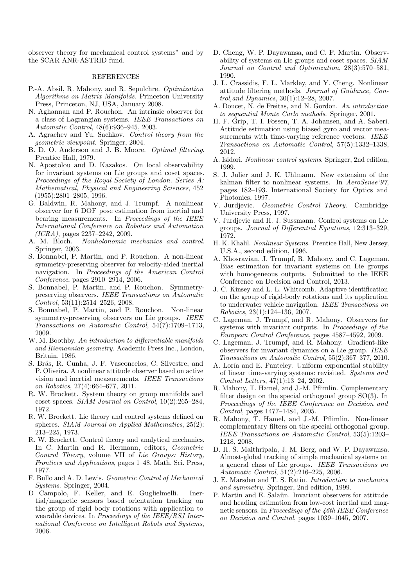observer theory for mechanical control systems" and by the SCAR ANR-ASTRID fund.

### REFERENCES

- P.-A. Absil, R. Mahony, and R. Sepulchre. Optimization Algorithms on Matrix Manifolds. Princeton University Press, Princeton, NJ, USA, January 2008.
- N. Aghannan and P. Rouchon. An intrinsic observer for a class of Lagrangian systems. IEEE Transactions on Automatic Control, 48(6):936–945, 2003.
- A. Agrachev and Yu. Sachkov. Control theory from the geometric viewpoint. Springer, 2004.
- B. D. O. Anderson and J. B. Moore. Optimal filtering. Prentice Hall, 1979.
- N. Apostolou and D. Kazakos. On local observability for invariant systems on Lie groups and coset spaces. Proceedings of the Royal Society of London. Series A: Mathematical, Physical and Engineering Sciences, 452 (1955):2801–2805, 1996.
- G. Baldwin, R. Mahony, and J. Trumpf. A nonlinear observer for 6 DOF pose estimation from inertial and bearing measurements. In Proceedings of the IEEE International Conference on Robotics and Automation (ICRA), pages 2237–2242, 2009.
- A. M. Bloch. Nonholonomic mechanics and control. Springer, 2003.
- S. Bonnabel, P. Martin, and P. Rouchon. A non-linear symmetry-preserving observer for velocity-aided inertial navigation. In Proceedings of the American Control Conference, pages 2910–2914, 2006.
- S. Bonnabel, P. Martin, and P. Rouchon. Symmetrypreserving observers. IEEE Transactions on Automatic Control, 53(11):2514–2526, 2008.
- S. Bonnabel, P. Martin, and P. Rouchon. Non-linear symmetry-preserving observers on Lie groups. *IEEE* Transactions on Automatic Control, 54(7):1709–1713, 2009.
- W. M. Boothby. An introduction to differentiable manifolds and Riemannian geometry. Academic Press Inc., London, Britain, 1986.
- S. Brás, R. Cunha, J. F. Vasconcelos, C. Silvestre, and P. Oliveira. A nonlinear attitude observer based on active vision and inertial measurements. IEEE Transactions on Robotics, 27(4):664–677, 2011.
- R. W. Brockett. System theory on group manifolds and coset spaces. SIAM Journal on Control, 10(2):265–284, 1972.
- R. W. Brockett. Lie theory and control systems defined on spheres. SIAM Journal on Applied Mathematics, 25(2): 213–225, 1973.
- R. W. Brockett. Control theory and analytical mechanics. In C. Martin and R. Hermann, editors, *Geometric* Control Theory, volume VII of Lie Groups: History, Frontiers and Applications, pages 1–48. Math. Sci. Press, 1977.
- F. Bullo and A. D. Lewis. Geometric Control of Mechanical Systems. Springer, 2004.
- D Campolo, F. Keller, and E. Guglielmelli. Inertial/magnetic sensors based orientation tracking on the group of rigid body rotations with application to wearable devices. In Proceedings of the IEEE/RSJ International Conference on Intelligent Robots and Systems, 2006.
- D. Cheng, W. P. Dayawansa, and C. F. Martin. Observability of systems on Lie groups and coset spaces. SIAM Journal on Control and Optimization, 28(3):570–581, 1990.
- J. L. Crassidis, F. L. Markley, and Y. Cheng. Nonlinear attitude filtering methods. Journal of Guidance, Control,and Dynamics, 30(1):12–28, 2007.
- A. Doucet, N. de Freitas, and N. Gordon. An introduction to sequential Monte Carlo methods. Springer, 2001.
- H. F. Grip, T. I. Fossen, T. A. Johansen, and A. Saberi. Attitude estimation using biased gyro and vector measurements with time-varying reference vectors. IEEE Transactions on Automatic Control, 57(5):1332–1338, 2012.
- A. Isidori. Nonlinear control systems. Springer, 2nd edition, 1999.
- S. J. Julier and J. K. Uhlmann. New extension of the kalman filter to nonlinear systems. In AeroSense'97, pages 182–193. International Society for Optics and Photonics, 1997.
- V. Jurdjevic. Geometric Control Theory. Cambridge University Press, 1997.
- V. Jurdjevic and H. J. Sussmann. Control systems on Lie groups. Journal of Differential Equations, 12:313–329, 1972.
- H. K. Khalil. Nonlinear Systems. Prentice Hall, New Jersey, U.S.A., second edition, 1996.
- A. Khosravian, J. Trumpf, R. Mahony, and C. Lageman. Bias estimation for invariant systems on Lie groups with homogeneous outputs. Submitted to the IEEE Conference on Decision and Control, 2013.
- J. C. Kinsey and L. L. Whitcomb. Adaptive identification on the group of rigid-body rotations and its application to underwater vehicle navigation. IEEE Transactions on Robotics, 23(1):124–136, 2007.
- C. Lageman, J. Trumpf, and R. Mahony. Observers for systems with invariant outputs. In Proceedings of the European Control Conference, pages 4587–4592, 2009.
- C. Lageman, J. Trumpf, and R. Mahony. Gradient-like observers for invariant dynamics on a Lie group. IEEE Transactions on Automatic Control, 55(2):367–377, 2010.
- A. Loría and E. Panteley. Uniform exponential stability of linear time-varying systems: revisited. Systems and Control Letters, 47(1):13–24, 2002.
- R. Mahony, T. Hamel, and J.-M. Pflimlin. Complementary filter design on the special orthogonal group SO(3). In Proceedings of the IEEE Conference on Decision and Control, pages 1477–1484, 2005.
- R. Mahony, T. Hamel, and J.-M. Pflimlin. Non-linear complementary filters on the special orthogonal group. IEEE Transactions on Automatic Control, 53(5):1203– 1218, 2008.
- D. H. S. Maithripala, J. M. Berg, and W. P. Dayawansa. Almost-global tracking of simple mechanical systems on a general class of Lie groups. IEEE Transactions on Automatic Control, 51(2):216–225, 2006.
- J. E. Marsden and T. S. Ratiu. Introduction to mechanics and symmetry. Springer, 2nd edition, 1999.
- P. Martin and E. Salaün. Invariant observers for attitude and heading estimation from low-cost inertial and magnetic sensors. In Proceedings of the 46th IEEE Conference on Decision and Control, pages 1039–1045, 2007.